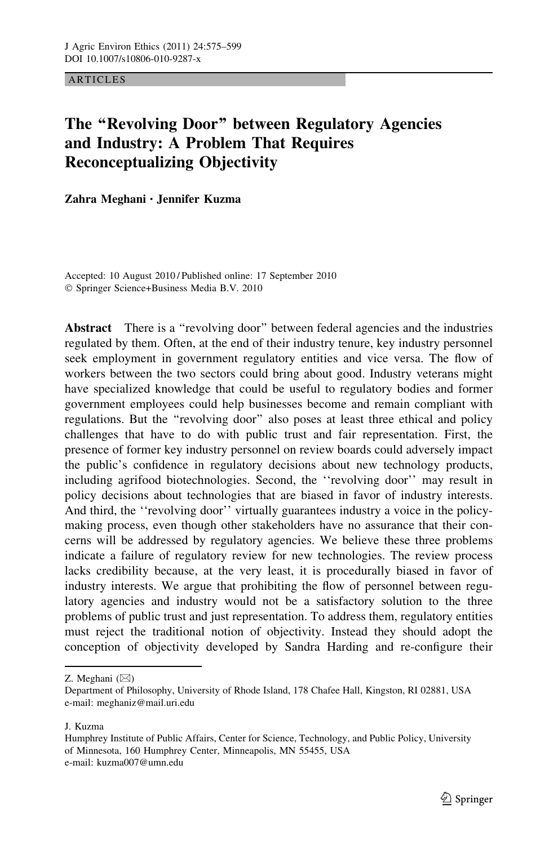ARTICLES

# The ''Revolving Door'' between Regulatory Agencies and Industry: A Problem That Requires Reconceptualizing Objectivity

Zahra Meghani • Jennifer Kuzma

Accepted: 10 August 2010 / Published online: 17 September 2010 - Springer Science+Business Media B.V. 2010

Abstract There is a ''revolving door'' between federal agencies and the industries regulated by them. Often, at the end of their industry tenure, key industry personnel seek employment in government regulatory entities and vice versa. The flow of workers between the two sectors could bring about good. Industry veterans might have specialized knowledge that could be useful to regulatory bodies and former government employees could help businesses become and remain compliant with regulations. But the ''revolving door'' also poses at least three ethical and policy challenges that have to do with public trust and fair representation. First, the presence of former key industry personnel on review boards could adversely impact the public's confidence in regulatory decisions about new technology products, including agrifood biotechnologies. Second, the ''revolving door'' may result in policy decisions about technologies that are biased in favor of industry interests. And third, the ''revolving door'' virtually guarantees industry a voice in the policymaking process, even though other stakeholders have no assurance that their concerns will be addressed by regulatory agencies. We believe these three problems indicate a failure of regulatory review for new technologies. The review process lacks credibility because, at the very least, it is procedurally biased in favor of industry interests. We argue that prohibiting the flow of personnel between regulatory agencies and industry would not be a satisfactory solution to the three problems of public trust and just representation. To address them, regulatory entities must reject the traditional notion of objectivity. Instead they should adopt the conception of objectivity developed by Sandra Harding and re-configure their

Z. Meghani  $(\boxtimes)$ 

Department of Philosophy, University of Rhode Island, 178 Chafee Hall, Kingston, RI 02881, USA e-mail: meghaniz@mail.uri.edu

J. Kuzma

Humphrey Institute of Public Affairs, Center for Science, Technology, and Public Policy, University of Minnesota, 160 Humphrey Center, Minneapolis, MN 55455, USA e-mail: kuzma007@umn.edu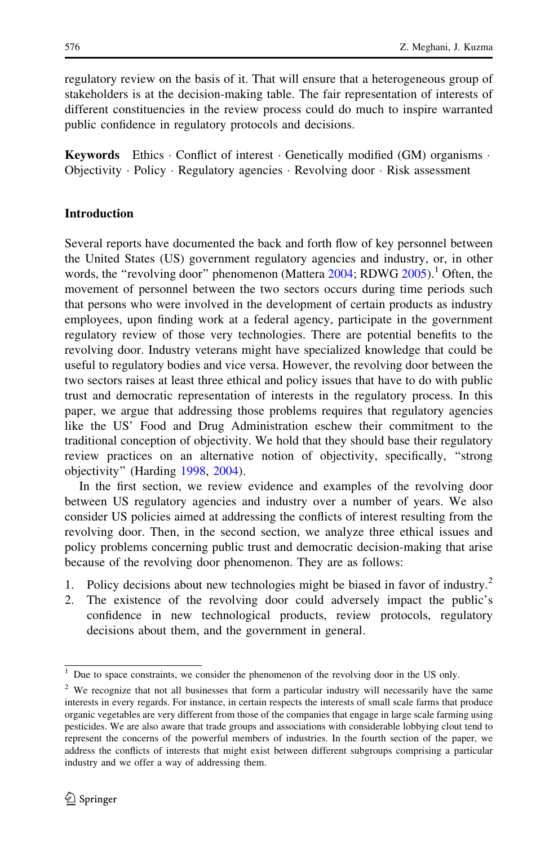regulatory review on the basis of it. That will ensure that a heterogeneous group of stakeholders is at the decision-making table. The fair representation of interests of different constituencies in the review process could do much to inspire warranted public confidence in regulatory protocols and decisions.

Keywords Ethics · Conflict of interest · Genetically modified (GM) organisms · Objectivity - Policy - Regulatory agencies - Revolving door - Risk assessment

# Introduction

Several reports have documented the back and forth flow of key personnel between the United States (US) government regulatory agencies and industry, or, in other words, the "revolving door" phenomenon (Mattera  $2004$ ; RDWG  $2005$ ).<sup>1</sup> Often, the movement of personnel between the two sectors occurs during time periods such that persons who were involved in the development of certain products as industry employees, upon finding work at a federal agency, participate in the government regulatory review of those very technologies. There are potential benefits to the revolving door. Industry veterans might have specialized knowledge that could be useful to regulatory bodies and vice versa. However, the revolving door between the two sectors raises at least three ethical and policy issues that have to do with public trust and democratic representation of interests in the regulatory process. In this paper, we argue that addressing those problems requires that regulatory agencies like the US' Food and Drug Administration eschew their commitment to the traditional conception of objectivity. We hold that they should base their regulatory review practices on an alternative notion of objectivity, specifically, ''strong objectivity'' (Harding 1998, 2004).

In the first section, we review evidence and examples of the revolving door between US regulatory agencies and industry over a number of years. We also consider US policies aimed at addressing the conflicts of interest resulting from the revolving door. Then, in the second section, we analyze three ethical issues and policy problems concerning public trust and democratic decision-making that arise because of the revolving door phenomenon. They are as follows:

- 1. Policy decisions about new technologies might be biased in favor of industry.<sup>2</sup>
- 2. The existence of the revolving door could adversely impact the public's confidence in new technological products, review protocols, regulatory decisions about them, and the government in general.

<sup>&</sup>lt;sup>1</sup> Due to space constraints, we consider the phenomenon of the revolving door in the US only.

<sup>&</sup>lt;sup>2</sup> We recognize that not all businesses that form a particular industry will necessarily have the same interests in every regards. For instance, in certain respects the interests of small scale farms that produce organic vegetables are very different from those of the companies that engage in large scale farming using pesticides. We are also aware that trade groups and associations with considerable lobbying clout tend to represent the concerns of the powerful members of industries. In the fourth section of the paper, we address the conflicts of interests that might exist between different subgroups comprising a particular industry and we offer a way of addressing them.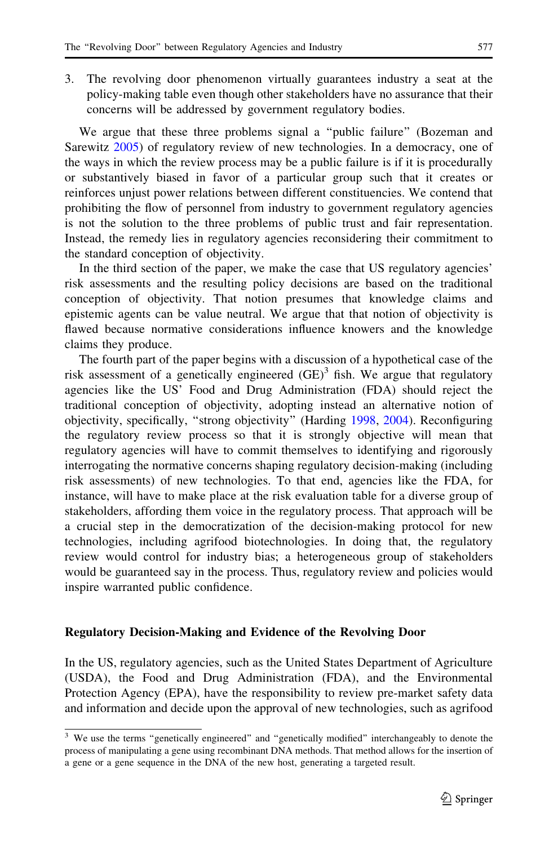3. The revolving door phenomenon virtually guarantees industry a seat at the policy-making table even though other stakeholders have no assurance that their concerns will be addressed by government regulatory bodies.

We argue that these three problems signal a ''public failure'' (Bozeman and Sarewitz 2005) of regulatory review of new technologies. In a democracy, one of the ways in which the review process may be a public failure is if it is procedurally or substantively biased in favor of a particular group such that it creates or reinforces unjust power relations between different constituencies. We contend that prohibiting the flow of personnel from industry to government regulatory agencies is not the solution to the three problems of public trust and fair representation. Instead, the remedy lies in regulatory agencies reconsidering their commitment to the standard conception of objectivity.

In the third section of the paper, we make the case that US regulatory agencies' risk assessments and the resulting policy decisions are based on the traditional conception of objectivity. That notion presumes that knowledge claims and epistemic agents can be value neutral. We argue that that notion of objectivity is flawed because normative considerations influence knowers and the knowledge claims they produce.

The fourth part of the paper begins with a discussion of a hypothetical case of the risk assessment of a genetically engineered  $(GE)^3$  fish. We argue that regulatory agencies like the US' Food and Drug Administration (FDA) should reject the traditional conception of objectivity, adopting instead an alternative notion of objectivity, specifically, ''strong objectivity'' (Harding 1998, 2004). Reconfiguring the regulatory review process so that it is strongly objective will mean that regulatory agencies will have to commit themselves to identifying and rigorously interrogating the normative concerns shaping regulatory decision-making (including risk assessments) of new technologies. To that end, agencies like the FDA, for instance, will have to make place at the risk evaluation table for a diverse group of stakeholders, affording them voice in the regulatory process. That approach will be a crucial step in the democratization of the decision-making protocol for new technologies, including agrifood biotechnologies. In doing that, the regulatory review would control for industry bias; a heterogeneous group of stakeholders would be guaranteed say in the process. Thus, regulatory review and policies would inspire warranted public confidence.

#### Regulatory Decision-Making and Evidence of the Revolving Door

In the US, regulatory agencies, such as the United States Department of Agriculture (USDA), the Food and Drug Administration (FDA), and the Environmental Protection Agency (EPA), have the responsibility to review pre-market safety data and information and decide upon the approval of new technologies, such as agrifood

<sup>&</sup>lt;sup>3</sup> We use the terms "genetically engineered" and "genetically modified" interchangeably to denote the process of manipulating a gene using recombinant DNA methods. That method allows for the insertion of a gene or a gene sequence in the DNA of the new host, generating a targeted result.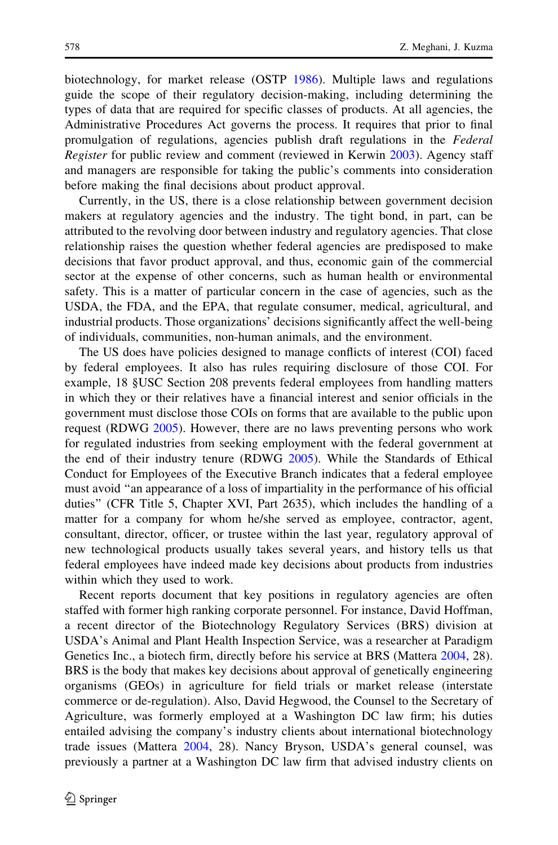biotechnology, for market release (OSTP 1986). Multiple laws and regulations guide the scope of their regulatory decision-making, including determining the types of data that are required for specific classes of products. At all agencies, the Administrative Procedures Act governs the process. It requires that prior to final promulgation of regulations, agencies publish draft regulations in the Federal Register for public review and comment (reviewed in Kerwin 2003). Agency staff and managers are responsible for taking the public's comments into consideration before making the final decisions about product approval.

Currently, in the US, there is a close relationship between government decision makers at regulatory agencies and the industry. The tight bond, in part, can be attributed to the revolving door between industry and regulatory agencies. That close relationship raises the question whether federal agencies are predisposed to make decisions that favor product approval, and thus, economic gain of the commercial sector at the expense of other concerns, such as human health or environmental safety. This is a matter of particular concern in the case of agencies, such as the USDA, the FDA, and the EPA, that regulate consumer, medical, agricultural, and industrial products. Those organizations' decisions significantly affect the well-being of individuals, communities, non-human animals, and the environment.

The US does have policies designed to manage conflicts of interest (COI) faced by federal employees. It also has rules requiring disclosure of those COI. For example, 18 §USC Section 208 prevents federal employees from handling matters in which they or their relatives have a financial interest and senior officials in the government must disclose those COIs on forms that are available to the public upon request (RDWG 2005). However, there are no laws preventing persons who work for regulated industries from seeking employment with the federal government at the end of their industry tenure (RDWG 2005). While the Standards of Ethical Conduct for Employees of the Executive Branch indicates that a federal employee must avoid ''an appearance of a loss of impartiality in the performance of his official duties'' (CFR Title 5, Chapter XVI, Part 2635), which includes the handling of a matter for a company for whom he/she served as employee, contractor, agent, consultant, director, officer, or trustee within the last year, regulatory approval of new technological products usually takes several years, and history tells us that federal employees have indeed made key decisions about products from industries within which they used to work.

Recent reports document that key positions in regulatory agencies are often staffed with former high ranking corporate personnel. For instance, David Hoffman, a recent director of the Biotechnology Regulatory Services (BRS) division at USDA's Animal and Plant Health Inspection Service, was a researcher at Paradigm Genetics Inc., a biotech firm, directly before his service at BRS (Mattera 2004, 28). BRS is the body that makes key decisions about approval of genetically engineering organisms (GEOs) in agriculture for field trials or market release (interstate commerce or de-regulation). Also, David Hegwood, the Counsel to the Secretary of Agriculture, was formerly employed at a Washington DC law firm; his duties entailed advising the company's industry clients about international biotechnology trade issues (Mattera 2004, 28). Nancy Bryson, USDA's general counsel, was previously a partner at a Washington DC law firm that advised industry clients on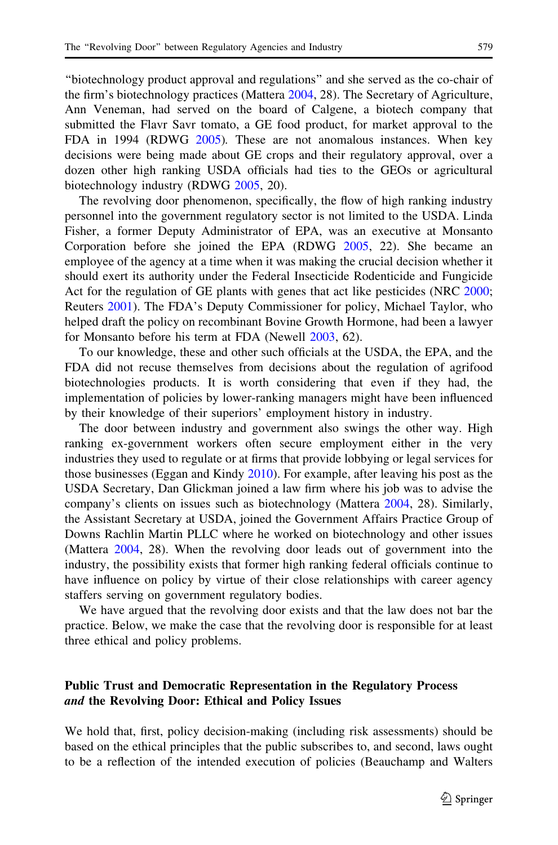''biotechnology product approval and regulations'' and she served as the co-chair of the firm's biotechnology practices (Mattera 2004, 28). The Secretary of Agriculture, Ann Veneman, had served on the board of Calgene, a biotech company that submitted the Flavr Savr tomato, a GE food product, for market approval to the FDA in 1994 (RDWG 2005). These are not anomalous instances. When key decisions were being made about GE crops and their regulatory approval, over a dozen other high ranking USDA officials had ties to the GEOs or agricultural biotechnology industry (RDWG 2005, 20).

The revolving door phenomenon, specifically, the flow of high ranking industry personnel into the government regulatory sector is not limited to the USDA. Linda Fisher, a former Deputy Administrator of EPA, was an executive at Monsanto Corporation before she joined the EPA (RDWG 2005, 22). She became an employee of the agency at a time when it was making the crucial decision whether it should exert its authority under the Federal Insecticide Rodenticide and Fungicide Act for the regulation of GE plants with genes that act like pesticides (NRC 2000; Reuters 2001). The FDA's Deputy Commissioner for policy, Michael Taylor, who helped draft the policy on recombinant Bovine Growth Hormone, had been a lawyer for Monsanto before his term at FDA (Newell 2003, 62).

To our knowledge, these and other such officials at the USDA, the EPA, and the FDA did not recuse themselves from decisions about the regulation of agrifood biotechnologies products. It is worth considering that even if they had, the implementation of policies by lower-ranking managers might have been influenced by their knowledge of their superiors' employment history in industry.

The door between industry and government also swings the other way. High ranking ex-government workers often secure employment either in the very industries they used to regulate or at firms that provide lobbying or legal services for those businesses (Eggan and Kindy 2010). For example, after leaving his post as the USDA Secretary, Dan Glickman joined a law firm where his job was to advise the company's clients on issues such as biotechnology (Mattera 2004, 28). Similarly, the Assistant Secretary at USDA, joined the Government Affairs Practice Group of Downs Rachlin Martin PLLC where he worked on biotechnology and other issues (Mattera 2004, 28). When the revolving door leads out of government into the industry, the possibility exists that former high ranking federal officials continue to have influence on policy by virtue of their close relationships with career agency staffers serving on government regulatory bodies.

We have argued that the revolving door exists and that the law does not bar the practice. Below, we make the case that the revolving door is responsible for at least three ethical and policy problems.

## Public Trust and Democratic Representation in the Regulatory Process and the Revolving Door: Ethical and Policy Issues

We hold that, first, policy decision-making (including risk assessments) should be based on the ethical principles that the public subscribes to, and second, laws ought to be a reflection of the intended execution of policies (Beauchamp and Walters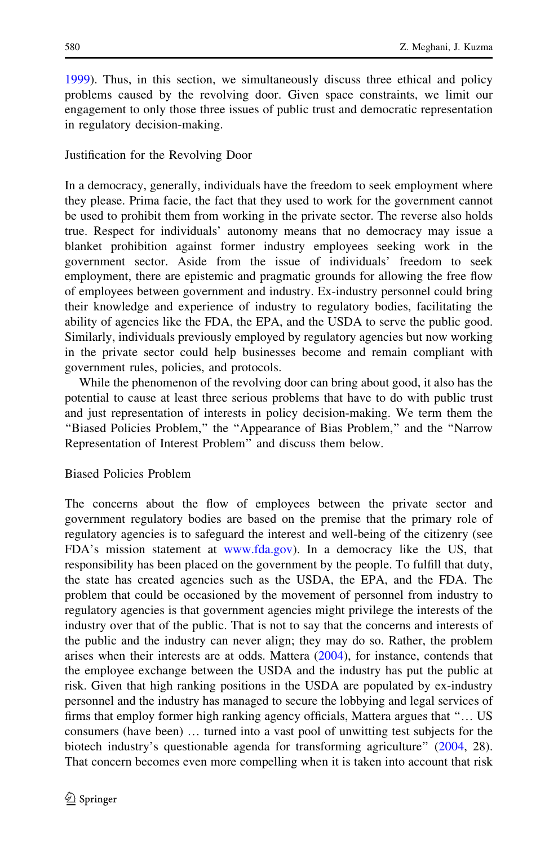1999). Thus, in this section, we simultaneously discuss three ethical and policy problems caused by the revolving door. Given space constraints, we limit our engagement to only those three issues of public trust and democratic representation in regulatory decision-making.

# Justification for the Revolving Door

In a democracy, generally, individuals have the freedom to seek employment where they please. Prima facie, the fact that they used to work for the government cannot be used to prohibit them from working in the private sector. The reverse also holds true. Respect for individuals' autonomy means that no democracy may issue a blanket prohibition against former industry employees seeking work in the government sector. Aside from the issue of individuals' freedom to seek employment, there are epistemic and pragmatic grounds for allowing the free flow of employees between government and industry. Ex-industry personnel could bring their knowledge and experience of industry to regulatory bodies, facilitating the ability of agencies like the FDA, the EPA, and the USDA to serve the public good. Similarly, individuals previously employed by regulatory agencies but now working in the private sector could help businesses become and remain compliant with government rules, policies, and protocols.

While the phenomenon of the revolving door can bring about good, it also has the potential to cause at least three serious problems that have to do with public trust and just representation of interests in policy decision-making. We term them the ''Biased Policies Problem,'' the ''Appearance of Bias Problem,'' and the ''Narrow Representation of Interest Problem'' and discuss them below.

### Biased Policies Problem

The concerns about the flow of employees between the private sector and government regulatory bodies are based on the premise that the primary role of regulatory agencies is to safeguard the interest and well-being of the citizenry (see FDA's mission statement at [www.fda.gov\)](http://www.fda.gov). In a democracy like the US, that responsibility has been placed on the government by the people. To fulfill that duty, the state has created agencies such as the USDA, the EPA, and the FDA. The problem that could be occasioned by the movement of personnel from industry to regulatory agencies is that government agencies might privilege the interests of the industry over that of the public. That is not to say that the concerns and interests of the public and the industry can never align; they may do so. Rather, the problem arises when their interests are at odds. Mattera (2004), for instance, contends that the employee exchange between the USDA and the industry has put the public at risk. Given that high ranking positions in the USDA are populated by ex-industry personnel and the industry has managed to secure the lobbying and legal services of firms that employ former high ranking agency officials, Mattera argues that ''… US consumers (have been) … turned into a vast pool of unwitting test subjects for the biotech industry's questionable agenda for transforming agriculture'' (2004, 28). That concern becomes even more compelling when it is taken into account that risk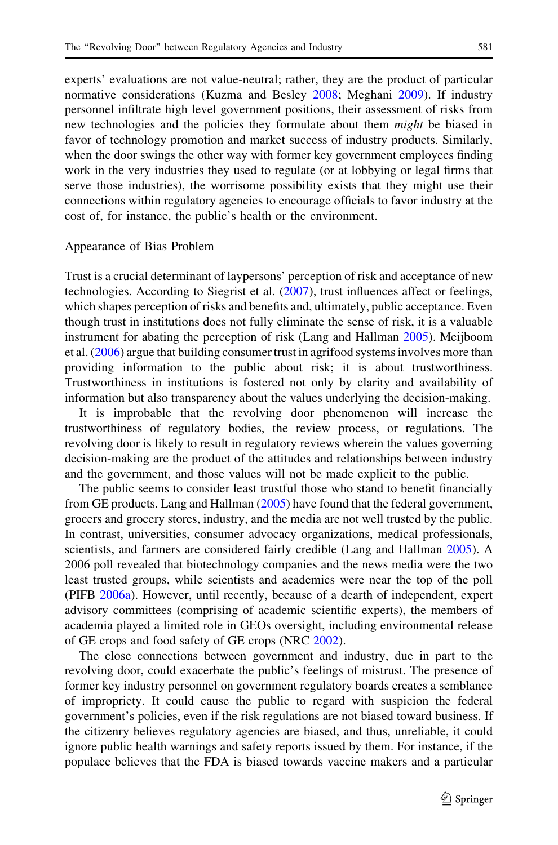experts' evaluations are not value-neutral; rather, they are the product of particular normative considerations (Kuzma and Besley 2008; Meghani 2009). If industry personnel infiltrate high level government positions, their assessment of risks from new technologies and the policies they formulate about them *might* be biased in favor of technology promotion and market success of industry products. Similarly, when the door swings the other way with former key government employees finding work in the very industries they used to regulate (or at lobbying or legal firms that serve those industries), the worrisome possibility exists that they might use their connections within regulatory agencies to encourage officials to favor industry at the cost of, for instance, the public's health or the environment.

#### Appearance of Bias Problem

Trust is a crucial determinant of laypersons' perception of risk and acceptance of new technologies. According to Siegrist et al.  $(2007)$ , trust influences affect or feelings, which shapes perception of risks and benefits and, ultimately, public acceptance. Even though trust in institutions does not fully eliminate the sense of risk, it is a valuable instrument for abating the perception of risk (Lang and Hallman 2005). Meijboom et al. (2006) argue that building consumer trust in agrifood systems involves more than providing information to the public about risk; it is about trustworthiness. Trustworthiness in institutions is fostered not only by clarity and availability of information but also transparency about the values underlying the decision-making.

It is improbable that the revolving door phenomenon will increase the trustworthiness of regulatory bodies, the review process, or regulations. The revolving door is likely to result in regulatory reviews wherein the values governing decision-making are the product of the attitudes and relationships between industry and the government, and those values will not be made explicit to the public.

The public seems to consider least trustful those who stand to benefit financially from GE products. Lang and Hallman (2005) have found that the federal government, grocers and grocery stores, industry, and the media are not well trusted by the public. In contrast, universities, consumer advocacy organizations, medical professionals, scientists, and farmers are considered fairly credible (Lang and Hallman 2005). A 2006 poll revealed that biotechnology companies and the news media were the two least trusted groups, while scientists and academics were near the top of the poll (PIFB 2006a). However, until recently, because of a dearth of independent, expert advisory committees (comprising of academic scientific experts), the members of academia played a limited role in GEOs oversight, including environmental release of GE crops and food safety of GE crops (NRC 2002).

The close connections between government and industry, due in part to the revolving door, could exacerbate the public's feelings of mistrust. The presence of former key industry personnel on government regulatory boards creates a semblance of impropriety. It could cause the public to regard with suspicion the federal government's policies, even if the risk regulations are not biased toward business. If the citizenry believes regulatory agencies are biased, and thus, unreliable, it could ignore public health warnings and safety reports issued by them. For instance, if the populace believes that the FDA is biased towards vaccine makers and a particular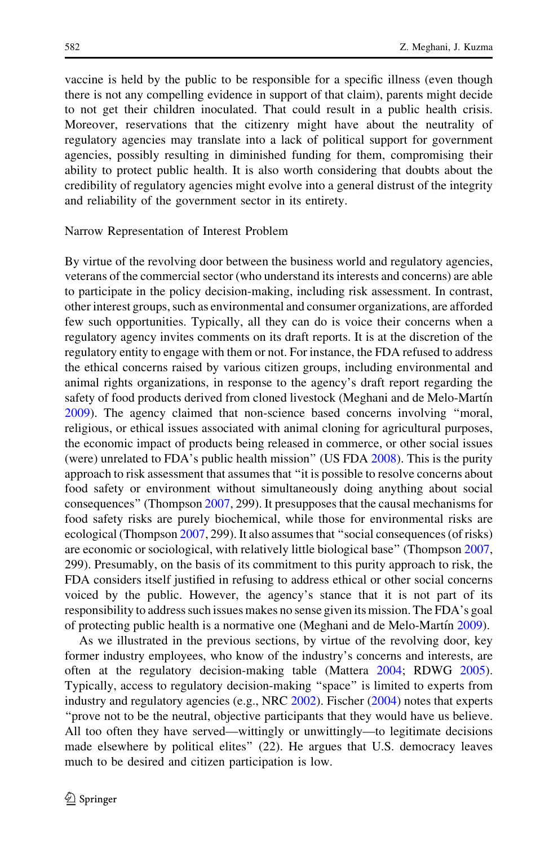vaccine is held by the public to be responsible for a specific illness (even though there is not any compelling evidence in support of that claim), parents might decide to not get their children inoculated. That could result in a public health crisis. Moreover, reservations that the citizenry might have about the neutrality of regulatory agencies may translate into a lack of political support for government agencies, possibly resulting in diminished funding for them, compromising their ability to protect public health. It is also worth considering that doubts about the credibility of regulatory agencies might evolve into a general distrust of the integrity and reliability of the government sector in its entirety.

#### Narrow Representation of Interest Problem

By virtue of the revolving door between the business world and regulatory agencies, veterans of the commercial sector (who understand its interests and concerns) are able to participate in the policy decision-making, including risk assessment. In contrast, other interest groups, such as environmental and consumer organizations, are afforded few such opportunities. Typically, all they can do is voice their concerns when a regulatory agency invites comments on its draft reports. It is at the discretion of the regulatory entity to engage with them or not. For instance, the FDA refused to address the ethical concerns raised by various citizen groups, including environmental and animal rights organizations, in response to the agency's draft report regarding the safety of food products derived from cloned livestock (Meghani and de Melo-Martín 2009). The agency claimed that non-science based concerns involving ''moral, religious, or ethical issues associated with animal cloning for agricultural purposes, the economic impact of products being released in commerce, or other social issues (were) unrelated to FDA's public health mission'' (US FDA 2008). This is the purity approach to risk assessment that assumes that ''it is possible to resolve concerns about food safety or environment without simultaneously doing anything about social consequences'' (Thompson 2007, 299). It presupposes that the causal mechanisms for food safety risks are purely biochemical, while those for environmental risks are ecological (Thompson 2007, 299). It also assumes that ''social consequences (of risks) are economic or sociological, with relatively little biological base'' (Thompson 2007, 299). Presumably, on the basis of its commitment to this purity approach to risk, the FDA considers itself justified in refusing to address ethical or other social concerns voiced by the public. However, the agency's stance that it is not part of its responsibility to address such issues makes no sense given its mission. The FDA's goal of protecting public health is a normative one (Meghani and de Melo-Martı´n 2009).

As we illustrated in the previous sections, by virtue of the revolving door, key former industry employees, who know of the industry's concerns and interests, are often at the regulatory decision-making table (Mattera 2004; RDWG 2005). Typically, access to regulatory decision-making ''space'' is limited to experts from industry and regulatory agencies (e.g., NRC 2002). Fischer (2004) notes that experts "prove not to be the neutral, objective participants that they would have us believe. All too often they have served—wittingly or unwittingly—to legitimate decisions made elsewhere by political elites'' (22). He argues that U.S. democracy leaves much to be desired and citizen participation is low.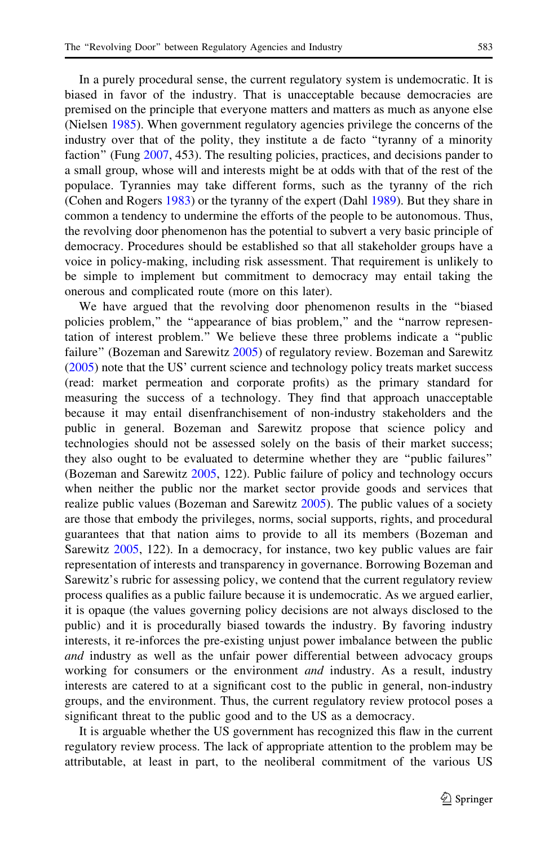In a purely procedural sense, the current regulatory system is undemocratic. It is biased in favor of the industry. That is unacceptable because democracies are premised on the principle that everyone matters and matters as much as anyone else (Nielsen 1985). When government regulatory agencies privilege the concerns of the industry over that of the polity, they institute a de facto ''tyranny of a minority faction'' (Fung 2007, 453). The resulting policies, practices, and decisions pander to a small group, whose will and interests might be at odds with that of the rest of the populace. Tyrannies may take different forms, such as the tyranny of the rich (Cohen and Rogers 1983) or the tyranny of the expert (Dahl 1989). But they share in common a tendency to undermine the efforts of the people to be autonomous. Thus, the revolving door phenomenon has the potential to subvert a very basic principle of democracy. Procedures should be established so that all stakeholder groups have a voice in policy-making, including risk assessment. That requirement is unlikely to be simple to implement but commitment to democracy may entail taking the onerous and complicated route (more on this later).

We have argued that the revolving door phenomenon results in the ''biased policies problem,'' the ''appearance of bias problem,'' and the ''narrow representation of interest problem.'' We believe these three problems indicate a ''public failure" (Bozeman and Sarewitz 2005) of regulatory review. Bozeman and Sarewitz (2005) note that the US' current science and technology policy treats market success (read: market permeation and corporate profits) as the primary standard for measuring the success of a technology. They find that approach unacceptable because it may entail disenfranchisement of non-industry stakeholders and the public in general. Bozeman and Sarewitz propose that science policy and technologies should not be assessed solely on the basis of their market success; they also ought to be evaluated to determine whether they are ''public failures'' (Bozeman and Sarewitz 2005, 122). Public failure of policy and technology occurs when neither the public nor the market sector provide goods and services that realize public values (Bozeman and Sarewitz 2005). The public values of a society are those that embody the privileges, norms, social supports, rights, and procedural guarantees that that nation aims to provide to all its members (Bozeman and Sarewitz 2005, 122). In a democracy, for instance, two key public values are fair representation of interests and transparency in governance. Borrowing Bozeman and Sarewitz's rubric for assessing policy, we contend that the current regulatory review process qualifies as a public failure because it is undemocratic. As we argued earlier, it is opaque (the values governing policy decisions are not always disclosed to the public) and it is procedurally biased towards the industry. By favoring industry interests, it re-inforces the pre-existing unjust power imbalance between the public and industry as well as the unfair power differential between advocacy groups working for consumers or the environment *and* industry. As a result, industry interests are catered to at a significant cost to the public in general, non-industry groups, and the environment. Thus, the current regulatory review protocol poses a significant threat to the public good and to the US as a democracy.

It is arguable whether the US government has recognized this flaw in the current regulatory review process. The lack of appropriate attention to the problem may be attributable, at least in part, to the neoliberal commitment of the various US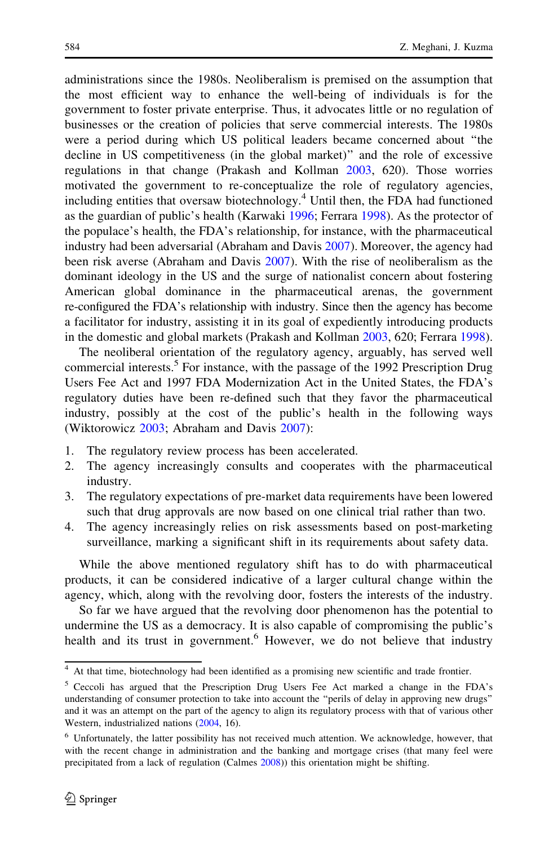administrations since the 1980s. Neoliberalism is premised on the assumption that the most efficient way to enhance the well-being of individuals is for the government to foster private enterprise. Thus, it advocates little or no regulation of businesses or the creation of policies that serve commercial interests. The 1980s were a period during which US political leaders became concerned about ''the decline in US competitiveness (in the global market)'' and the role of excessive regulations in that change (Prakash and Kollman 2003, 620). Those worries motivated the government to re-conceptualize the role of regulatory agencies, including entities that oversaw biotechnology.<sup>4</sup> Until then, the FDA had functioned as the guardian of public's health (Karwaki 1996; Ferrara 1998). As the protector of the populace's health, the FDA's relationship, for instance, with the pharmaceutical industry had been adversarial (Abraham and Davis 2007). Moreover, the agency had been risk averse (Abraham and Davis 2007). With the rise of neoliberalism as the dominant ideology in the US and the surge of nationalist concern about fostering American global dominance in the pharmaceutical arenas, the government re-configured the FDA's relationship with industry. Since then the agency has become a facilitator for industry, assisting it in its goal of expediently introducing products in the domestic and global markets (Prakash and Kollman 2003, 620; Ferrara 1998).

The neoliberal orientation of the regulatory agency, arguably, has served well commercial interests.<sup>5</sup> For instance, with the passage of the 1992 Prescription Drug Users Fee Act and 1997 FDA Modernization Act in the United States, the FDA's regulatory duties have been re-defined such that they favor the pharmaceutical industry, possibly at the cost of the public's health in the following ways (Wiktorowicz 2003; Abraham and Davis 2007):

- 1. The regulatory review process has been accelerated.
- 2. The agency increasingly consults and cooperates with the pharmaceutical industry.
- 3. The regulatory expectations of pre-market data requirements have been lowered such that drug approvals are now based on one clinical trial rather than two.
- 4. The agency increasingly relies on risk assessments based on post-marketing surveillance, marking a significant shift in its requirements about safety data.

While the above mentioned regulatory shift has to do with pharmaceutical products, it can be considered indicative of a larger cultural change within the agency, which, along with the revolving door, fosters the interests of the industry.

So far we have argued that the revolving door phenomenon has the potential to undermine the US as a democracy. It is also capable of compromising the public's health and its trust in government.<sup>6</sup> However, we do not believe that industry

<sup>&</sup>lt;sup>4</sup> At that time, biotechnology had been identified as a promising new scientific and trade frontier.

<sup>5</sup> Ceccoli has argued that the Prescription Drug Users Fee Act marked a change in the FDA's understanding of consumer protection to take into account the ''perils of delay in approving new drugs'' and it was an attempt on the part of the agency to align its regulatory process with that of various other Western, industrialized nations (2004, 16).

<sup>6</sup> Unfortunately, the latter possibility has not received much attention. We acknowledge, however, that with the recent change in administration and the banking and mortgage crises (that many feel were precipitated from a lack of regulation (Calmes 2008)) this orientation might be shifting.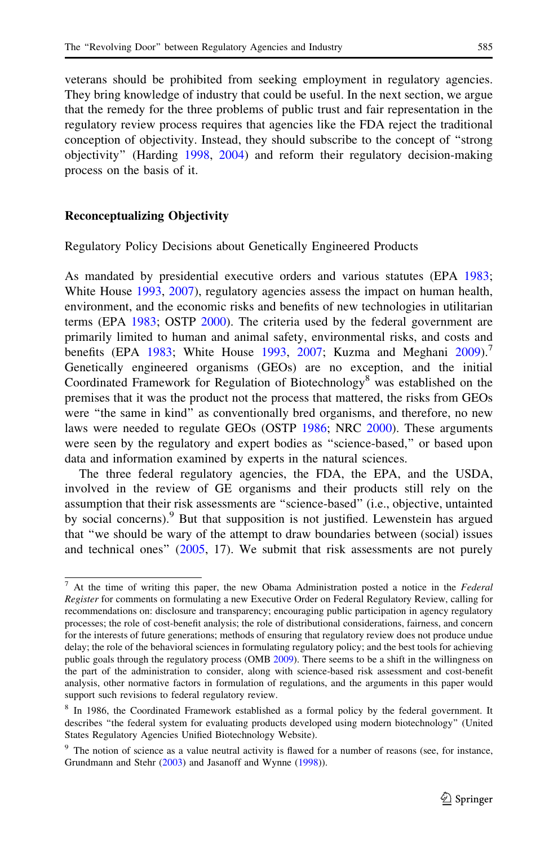veterans should be prohibited from seeking employment in regulatory agencies. They bring knowledge of industry that could be useful. In the next section, we argue that the remedy for the three problems of public trust and fair representation in the regulatory review process requires that agencies like the FDA reject the traditional conception of objectivity. Instead, they should subscribe to the concept of ''strong objectivity'' (Harding 1998, 2004) and reform their regulatory decision-making process on the basis of it.

#### Reconceptualizing Objectivity

Regulatory Policy Decisions about Genetically Engineered Products

As mandated by presidential executive orders and various statutes (EPA 1983; White House 1993, 2007), regulatory agencies assess the impact on human health, environment, and the economic risks and benefits of new technologies in utilitarian terms (EPA 1983; OSTP 2000). The criteria used by the federal government are primarily limited to human and animal safety, environmental risks, and costs and benefits (EPA  $1983$ ; White House 1993, 2007; Kuzma and Meghani 2009).<sup>7</sup> Genetically engineered organisms (GEOs) are no exception, and the initial Coordinated Framework for Regulation of Biotechnology<sup>8</sup> was established on the premises that it was the product not the process that mattered, the risks from GEOs were ''the same in kind'' as conventionally bred organisms, and therefore, no new laws were needed to regulate GEOs (OSTP 1986; NRC 2000). These arguments were seen by the regulatory and expert bodies as ''science-based,'' or based upon data and information examined by experts in the natural sciences.

The three federal regulatory agencies, the FDA, the EPA, and the USDA, involved in the review of GE organisms and their products still rely on the assumption that their risk assessments are ''science-based'' (i.e., objective, untainted by social concerns).<sup>9</sup> But that supposition is not justified. Lewenstein has argued that ''we should be wary of the attempt to draw boundaries between (social) issues and technical ones'' (2005, 17). We submit that risk assessments are not purely

 $\frac{7}{4}$  At the time of writing this paper, the new Obama Administration posted a notice in the Federal Register for comments on formulating a new Executive Order on Federal Regulatory Review, calling for recommendations on: disclosure and transparency; encouraging public participation in agency regulatory processes; the role of cost-benefit analysis; the role of distributional considerations, fairness, and concern for the interests of future generations; methods of ensuring that regulatory review does not produce undue delay; the role of the behavioral sciences in formulating regulatory policy; and the best tools for achieving public goals through the regulatory process (OMB 2009). There seems to be a shift in the willingness on the part of the administration to consider, along with science-based risk assessment and cost-benefit analysis, other normative factors in formulation of regulations, and the arguments in this paper would support such revisions to federal regulatory review.

<sup>&</sup>lt;sup>8</sup> In 1986, the Coordinated Framework established as a formal policy by the federal government. It describes ''the federal system for evaluating products developed using modern biotechnology'' (United States Regulatory Agencies Unified Biotechnology Website).

<sup>&</sup>lt;sup>9</sup> The notion of science as a value neutral activity is flawed for a number of reasons (see, for instance, Grundmann and Stehr (2003) and Jasanoff and Wynne (1998)).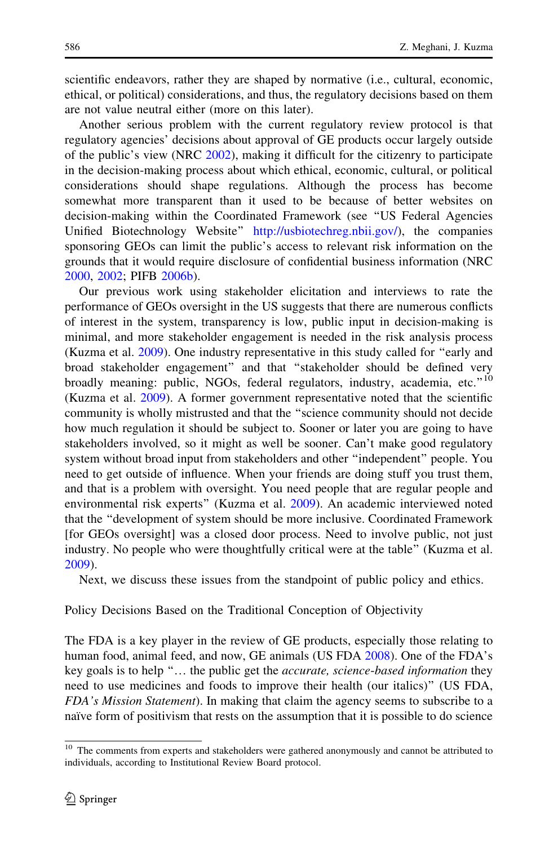scientific endeavors, rather they are shaped by normative (i.e., cultural, economic, ethical, or political) considerations, and thus, the regulatory decisions based on them are not value neutral either (more on this later).

Another serious problem with the current regulatory review protocol is that regulatory agencies' decisions about approval of GE products occur largely outside of the public's view (NRC 2002), making it difficult for the citizenry to participate in the decision-making process about which ethical, economic, cultural, or political considerations should shape regulations. Although the process has become somewhat more transparent than it used to be because of better websites on decision-making within the Coordinated Framework (see ''US Federal Agencies Unified Biotechnology Website'' <http://usbiotechreg.nbii.gov/>), the companies sponsoring GEOs can limit the public's access to relevant risk information on the grounds that it would require disclosure of confidential business information (NRC 2000, 2002; PIFB 2006b).

Our previous work using stakeholder elicitation and interviews to rate the performance of GEOs oversight in the US suggests that there are numerous conflicts of interest in the system, transparency is low, public input in decision-making is minimal, and more stakeholder engagement is needed in the risk analysis process (Kuzma et al. 2009). One industry representative in this study called for ''early and broad stakeholder engagement'' and that ''stakeholder should be defined very broadly meaning: public, NGOs, federal regulators, industry, academia, etc.''<sup>10</sup> (Kuzma et al. 2009). A former government representative noted that the scientific community is wholly mistrusted and that the ''science community should not decide how much regulation it should be subject to. Sooner or later you are going to have stakeholders involved, so it might as well be sooner. Can't make good regulatory system without broad input from stakeholders and other ''independent'' people. You need to get outside of influence. When your friends are doing stuff you trust them, and that is a problem with oversight. You need people that are regular people and environmental risk experts'' (Kuzma et al. 2009). An academic interviewed noted that the ''development of system should be more inclusive. Coordinated Framework [for GEOs oversight] was a closed door process. Need to involve public, not just industry. No people who were thoughtfully critical were at the table'' (Kuzma et al. 2009).

Next, we discuss these issues from the standpoint of public policy and ethics.

# Policy Decisions Based on the Traditional Conception of Objectivity

The FDA is a key player in the review of GE products, especially those relating to human food, animal feed, and now, GE animals (US FDA 2008). One of the FDA's key goals is to help ''… the public get the accurate, science-based information they need to use medicines and foods to improve their health (our italics)'' (US FDA, FDA's Mission Statement). In making that claim the agency seems to subscribe to a naïve form of positivism that rests on the assumption that it is possible to do science

<sup>&</sup>lt;sup>10</sup> The comments from experts and stakeholders were gathered anonymously and cannot be attributed to individuals, according to Institutional Review Board protocol.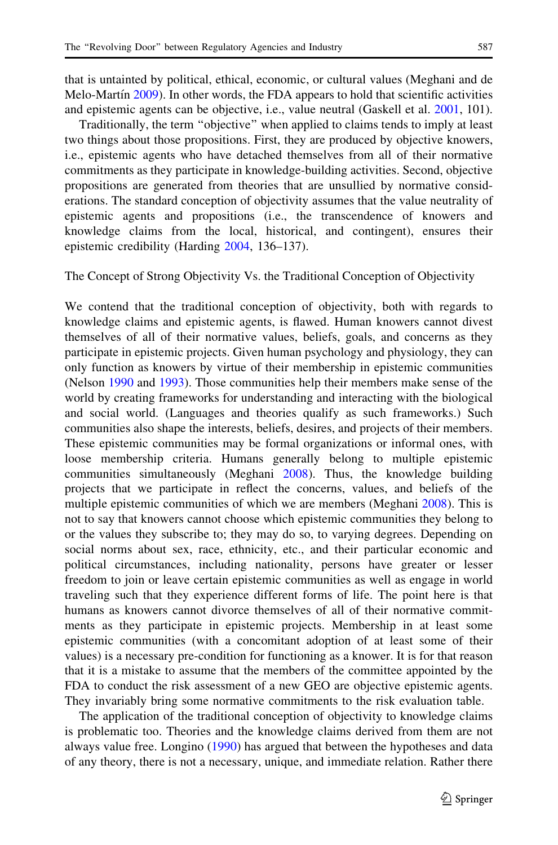that is untainted by political, ethical, economic, or cultural values (Meghani and de Melo-Martín 2009). In other words, the FDA appears to hold that scientific activities and epistemic agents can be objective, i.e., value neutral (Gaskell et al. 2001, 101).

Traditionally, the term ''objective'' when applied to claims tends to imply at least two things about those propositions. First, they are produced by objective knowers, i.e., epistemic agents who have detached themselves from all of their normative commitments as they participate in knowledge-building activities. Second, objective propositions are generated from theories that are unsullied by normative considerations. The standard conception of objectivity assumes that the value neutrality of epistemic agents and propositions (i.e., the transcendence of knowers and knowledge claims from the local, historical, and contingent), ensures their epistemic credibility (Harding 2004, 136–137).

#### The Concept of Strong Objectivity Vs. the Traditional Conception of Objectivity

We contend that the traditional conception of objectivity, both with regards to knowledge claims and epistemic agents, is flawed. Human knowers cannot divest themselves of all of their normative values, beliefs, goals, and concerns as they participate in epistemic projects. Given human psychology and physiology, they can only function as knowers by virtue of their membership in epistemic communities (Nelson 1990 and 1993). Those communities help their members make sense of the world by creating frameworks for understanding and interacting with the biological and social world. (Languages and theories qualify as such frameworks.) Such communities also shape the interests, beliefs, desires, and projects of their members. These epistemic communities may be formal organizations or informal ones, with loose membership criteria. Humans generally belong to multiple epistemic communities simultaneously (Meghani 2008). Thus, the knowledge building projects that we participate in reflect the concerns, values, and beliefs of the multiple epistemic communities of which we are members (Meghani 2008). This is not to say that knowers cannot choose which epistemic communities they belong to or the values they subscribe to; they may do so, to varying degrees. Depending on social norms about sex, race, ethnicity, etc., and their particular economic and political circumstances, including nationality, persons have greater or lesser freedom to join or leave certain epistemic communities as well as engage in world traveling such that they experience different forms of life. The point here is that humans as knowers cannot divorce themselves of all of their normative commitments as they participate in epistemic projects. Membership in at least some epistemic communities (with a concomitant adoption of at least some of their values) is a necessary pre-condition for functioning as a knower. It is for that reason that it is a mistake to assume that the members of the committee appointed by the FDA to conduct the risk assessment of a new GEO are objective epistemic agents. They invariably bring some normative commitments to the risk evaluation table.

The application of the traditional conception of objectivity to knowledge claims is problematic too. Theories and the knowledge claims derived from them are not always value free. Longino (1990) has argued that between the hypotheses and data of any theory, there is not a necessary, unique, and immediate relation. Rather there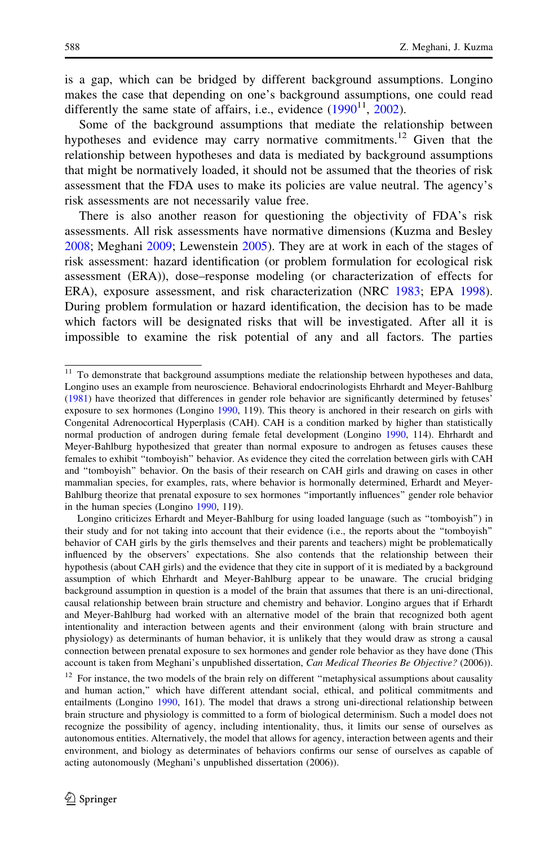is a gap, which can be bridged by different background assumptions. Longino makes the case that depending on one's background assumptions, one could read differently the same state of affairs, i.e., evidence  $(1990^{11}, 2002)$ .

Some of the background assumptions that mediate the relationship between hypotheses and evidence may carry normative commitments.<sup>12</sup> Given that the relationship between hypotheses and data is mediated by background assumptions that might be normatively loaded, it should not be assumed that the theories of risk assessment that the FDA uses to make its policies are value neutral. The agency's risk assessments are not necessarily value free.

There is also another reason for questioning the objectivity of FDA's risk assessments. All risk assessments have normative dimensions (Kuzma and Besley 2008; Meghani 2009; Lewenstein 2005). They are at work in each of the stages of risk assessment: hazard identification (or problem formulation for ecological risk assessment (ERA)), dose–response modeling (or characterization of effects for ERA), exposure assessment, and risk characterization (NRC 1983; EPA 1998). During problem formulation or hazard identification, the decision has to be made which factors will be designated risks that will be investigated. After all it is impossible to examine the risk potential of any and all factors. The parties

<sup>&</sup>lt;sup>11</sup> To demonstrate that background assumptions mediate the relationship between hypotheses and data, Longino uses an example from neuroscience. Behavioral endocrinologists Ehrhardt and Meyer-Bahlburg (1981) have theorized that differences in gender role behavior are significantly determined by fetuses' exposure to sex hormones (Longino 1990, 119). This theory is anchored in their research on girls with Congenital Adrenocortical Hyperplasis (CAH). CAH is a condition marked by higher than statistically normal production of androgen during female fetal development (Longino 1990, 114). Ehrhardt and Meyer-Bahlburg hypothesized that greater than normal exposure to androgen as fetuses causes these females to exhibit ''tomboyish'' behavior. As evidence they cited the correlation between girls with CAH and ''tomboyish'' behavior. On the basis of their research on CAH girls and drawing on cases in other mammalian species, for examples, rats, where behavior is hormonally determined, Erhardt and Meyer-Bahlburg theorize that prenatal exposure to sex hormones ''importantly influences'' gender role behavior in the human species (Longino 1990, 119).

Longino criticizes Erhardt and Meyer-Bahlburg for using loaded language (such as ''tomboyish'') in their study and for not taking into account that their evidence (i.e., the reports about the ''tomboyish'' behavior of CAH girls by the girls themselves and their parents and teachers) might be problematically influenced by the observers' expectations. She also contends that the relationship between their hypothesis (about CAH girls) and the evidence that they cite in support of it is mediated by a background assumption of which Ehrhardt and Meyer-Bahlburg appear to be unaware. The crucial bridging background assumption in question is a model of the brain that assumes that there is an uni-directional, causal relationship between brain structure and chemistry and behavior. Longino argues that if Erhardt and Meyer-Bahlburg had worked with an alternative model of the brain that recognized both agent intentionality and interaction between agents and their environment (along with brain structure and physiology) as determinants of human behavior, it is unlikely that they would draw as strong a causal connection between prenatal exposure to sex hormones and gender role behavior as they have done (This account is taken from Meghani's unpublished dissertation, Can Medical Theories Be Objective? (2006)).

 $12$  For instance, the two models of the brain rely on different "metaphysical assumptions about causality and human action,'' which have different attendant social, ethical, and political commitments and entailments (Longino 1990, 161). The model that draws a strong uni-directional relationship between brain structure and physiology is committed to a form of biological determinism. Such a model does not recognize the possibility of agency, including intentionality, thus, it limits our sense of ourselves as autonomous entities. Alternatively, the model that allows for agency, interaction between agents and their environment, and biology as determinates of behaviors confirms our sense of ourselves as capable of acting autonomously (Meghani's unpublished dissertation (2006)).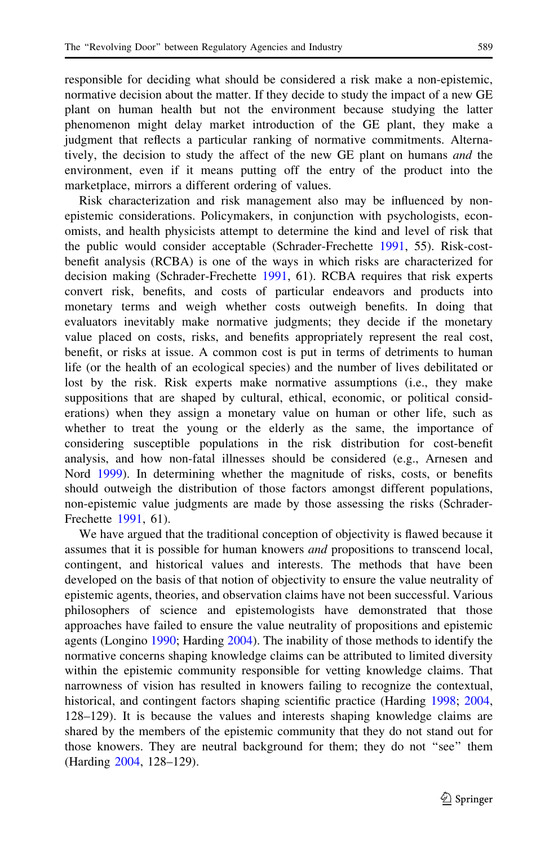responsible for deciding what should be considered a risk make a non-epistemic, normative decision about the matter. If they decide to study the impact of a new GE plant on human health but not the environment because studying the latter phenomenon might delay market introduction of the GE plant, they make a judgment that reflects a particular ranking of normative commitments. Alternatively, the decision to study the affect of the new GE plant on humans and the environment, even if it means putting off the entry of the product into the marketplace, mirrors a different ordering of values.

Risk characterization and risk management also may be influenced by nonepistemic considerations. Policymakers, in conjunction with psychologists, economists, and health physicists attempt to determine the kind and level of risk that the public would consider acceptable (Schrader-Frechette 1991, 55). Risk-costbenefit analysis (RCBA) is one of the ways in which risks are characterized for decision making (Schrader-Frechette 1991, 61). RCBA requires that risk experts convert risk, benefits, and costs of particular endeavors and products into monetary terms and weigh whether costs outweigh benefits. In doing that evaluators inevitably make normative judgments; they decide if the monetary value placed on costs, risks, and benefits appropriately represent the real cost, benefit, or risks at issue. A common cost is put in terms of detriments to human life (or the health of an ecological species) and the number of lives debilitated or lost by the risk. Risk experts make normative assumptions (i.e., they make suppositions that are shaped by cultural, ethical, economic, or political considerations) when they assign a monetary value on human or other life, such as whether to treat the young or the elderly as the same, the importance of considering susceptible populations in the risk distribution for cost-benefit analysis, and how non-fatal illnesses should be considered (e.g., Arnesen and Nord 1999). In determining whether the magnitude of risks, costs, or benefits should outweigh the distribution of those factors amongst different populations, non-epistemic value judgments are made by those assessing the risks (Schrader-Frechette 1991, 61).

We have argued that the traditional conception of objectivity is flawed because it assumes that it is possible for human knowers and propositions to transcend local, contingent, and historical values and interests. The methods that have been developed on the basis of that notion of objectivity to ensure the value neutrality of epistemic agents, theories, and observation claims have not been successful. Various philosophers of science and epistemologists have demonstrated that those approaches have failed to ensure the value neutrality of propositions and epistemic agents (Longino 1990; Harding 2004). The inability of those methods to identify the normative concerns shaping knowledge claims can be attributed to limited diversity within the epistemic community responsible for vetting knowledge claims. That narrowness of vision has resulted in knowers failing to recognize the contextual, historical, and contingent factors shaping scientific practice (Harding 1998; 2004, 128–129). It is because the values and interests shaping knowledge claims are shared by the members of the epistemic community that they do not stand out for those knowers. They are neutral background for them; they do not "see" them (Harding 2004, 128–129).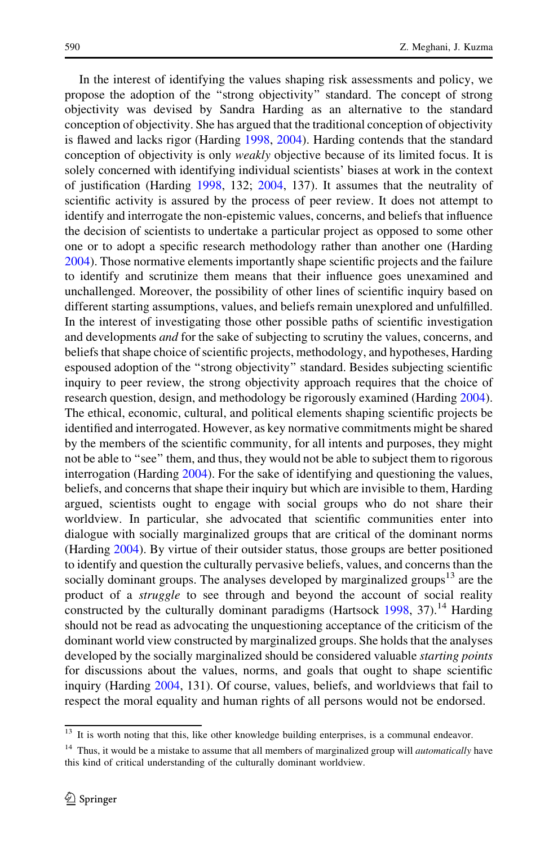In the interest of identifying the values shaping risk assessments and policy, we propose the adoption of the ''strong objectivity'' standard. The concept of strong objectivity was devised by Sandra Harding as an alternative to the standard conception of objectivity. She has argued that the traditional conception of objectivity is flawed and lacks rigor (Harding 1998, 2004). Harding contends that the standard conception of objectivity is only weakly objective because of its limited focus. It is solely concerned with identifying individual scientists' biases at work in the context of justification (Harding 1998, 132; 2004, 137). It assumes that the neutrality of scientific activity is assured by the process of peer review. It does not attempt to identify and interrogate the non-epistemic values, concerns, and beliefs that influence the decision of scientists to undertake a particular project as opposed to some other one or to adopt a specific research methodology rather than another one (Harding 2004). Those normative elements importantly shape scientific projects and the failure to identify and scrutinize them means that their influence goes unexamined and unchallenged. Moreover, the possibility of other lines of scientific inquiry based on different starting assumptions, values, and beliefs remain unexplored and unfulfilled. In the interest of investigating those other possible paths of scientific investigation and developments *and* for the sake of subjecting to scrutiny the values, concerns, and beliefs that shape choice of scientific projects, methodology, and hypotheses, Harding espoused adoption of the ''strong objectivity'' standard. Besides subjecting scientific inquiry to peer review, the strong objectivity approach requires that the choice of research question, design, and methodology be rigorously examined (Harding 2004). The ethical, economic, cultural, and political elements shaping scientific projects be identified and interrogated. However, as key normative commitments might be shared by the members of the scientific community, for all intents and purposes, they might not be able to ''see'' them, and thus, they would not be able to subject them to rigorous interrogation (Harding 2004). For the sake of identifying and questioning the values, beliefs, and concerns that shape their inquiry but which are invisible to them, Harding argued, scientists ought to engage with social groups who do not share their worldview. In particular, she advocated that scientific communities enter into dialogue with socially marginalized groups that are critical of the dominant norms (Harding 2004). By virtue of their outsider status, those groups are better positioned to identify and question the culturally pervasive beliefs, values, and concerns than the socially dominant groups. The analyses developed by marginalized groups $13$  are the product of a struggle to see through and beyond the account of social reality constructed by the culturally dominant paradigms (Hartsock  $1998$ , 37).<sup>14</sup> Harding should not be read as advocating the unquestioning acceptance of the criticism of the dominant world view constructed by marginalized groups. She holds that the analyses developed by the socially marginalized should be considered valuable *starting points* for discussions about the values, norms, and goals that ought to shape scientific inquiry (Harding 2004, 131). Of course, values, beliefs, and worldviews that fail to respect the moral equality and human rights of all persons would not be endorsed.

<sup>&</sup>lt;sup>13</sup> It is worth noting that this, like other knowledge building enterprises, is a communal endeavor.

<sup>&</sup>lt;sup>14</sup> Thus, it would be a mistake to assume that all members of marginalized group will *automatically* have this kind of critical understanding of the culturally dominant worldview.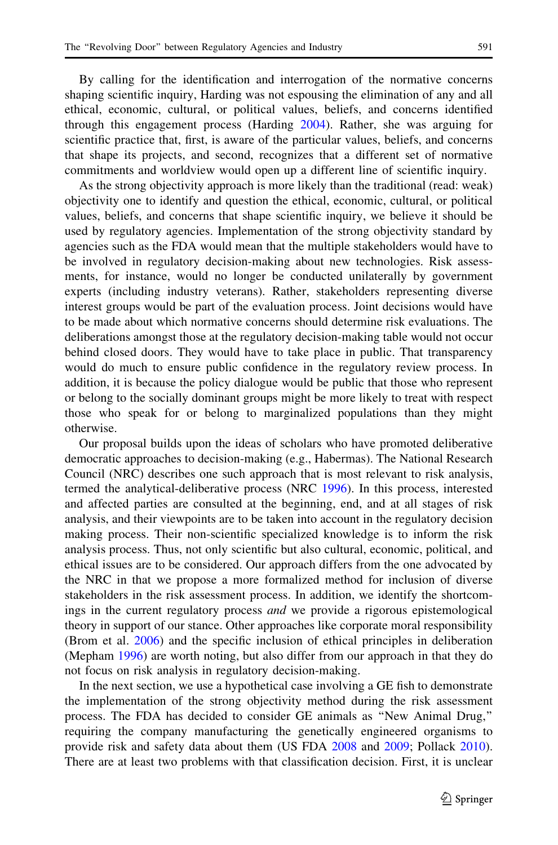By calling for the identification and interrogation of the normative concerns shaping scientific inquiry, Harding was not espousing the elimination of any and all ethical, economic, cultural, or political values, beliefs, and concerns identified through this engagement process (Harding 2004). Rather, she was arguing for scientific practice that, first, is aware of the particular values, beliefs, and concerns that shape its projects, and second, recognizes that a different set of normative commitments and worldview would open up a different line of scientific inquiry.

As the strong objectivity approach is more likely than the traditional (read: weak) objectivity one to identify and question the ethical, economic, cultural, or political values, beliefs, and concerns that shape scientific inquiry, we believe it should be used by regulatory agencies. Implementation of the strong objectivity standard by agencies such as the FDA would mean that the multiple stakeholders would have to be involved in regulatory decision-making about new technologies. Risk assessments, for instance, would no longer be conducted unilaterally by government experts (including industry veterans). Rather, stakeholders representing diverse interest groups would be part of the evaluation process. Joint decisions would have to be made about which normative concerns should determine risk evaluations. The deliberations amongst those at the regulatory decision-making table would not occur behind closed doors. They would have to take place in public. That transparency would do much to ensure public confidence in the regulatory review process. In addition, it is because the policy dialogue would be public that those who represent or belong to the socially dominant groups might be more likely to treat with respect those who speak for or belong to marginalized populations than they might otherwise.

Our proposal builds upon the ideas of scholars who have promoted deliberative democratic approaches to decision-making (e.g., Habermas). The National Research Council (NRC) describes one such approach that is most relevant to risk analysis, termed the analytical-deliberative process (NRC 1996). In this process, interested and affected parties are consulted at the beginning, end, and at all stages of risk analysis, and their viewpoints are to be taken into account in the regulatory decision making process. Their non-scientific specialized knowledge is to inform the risk analysis process. Thus, not only scientific but also cultural, economic, political, and ethical issues are to be considered. Our approach differs from the one advocated by the NRC in that we propose a more formalized method for inclusion of diverse stakeholders in the risk assessment process. In addition, we identify the shortcomings in the current regulatory process *and* we provide a rigorous epistemological theory in support of our stance. Other approaches like corporate moral responsibility (Brom et al. 2006) and the specific inclusion of ethical principles in deliberation (Mepham 1996) are worth noting, but also differ from our approach in that they do not focus on risk analysis in regulatory decision-making.

In the next section, we use a hypothetical case involving a GE fish to demonstrate the implementation of the strong objectivity method during the risk assessment process. The FDA has decided to consider GE animals as ''New Animal Drug,'' requiring the company manufacturing the genetically engineered organisms to provide risk and safety data about them (US FDA 2008 and 2009; Pollack 2010). There are at least two problems with that classification decision. First, it is unclear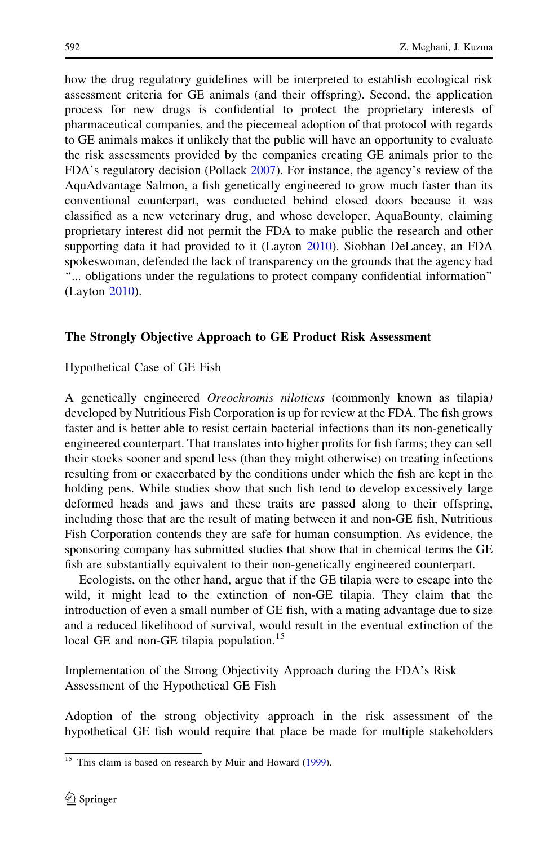how the drug regulatory guidelines will be interpreted to establish ecological risk assessment criteria for GE animals (and their offspring). Second, the application process for new drugs is confidential to protect the proprietary interests of pharmaceutical companies, and the piecemeal adoption of that protocol with regards to GE animals makes it unlikely that the public will have an opportunity to evaluate the risk assessments provided by the companies creating GE animals prior to the FDA's regulatory decision (Pollack 2007). For instance, the agency's review of the AquAdvantage Salmon, a fish genetically engineered to grow much faster than its conventional counterpart, was conducted behind closed doors because it was classified as a new veterinary drug, and whose developer, AquaBounty, claiming proprietary interest did not permit the FDA to make public the research and other supporting data it had provided to it (Layton 2010). Siobhan DeLancey, an FDA spokeswoman, defended the lack of transparency on the grounds that the agency had ''... obligations under the regulations to protect company confidential information'' (Layton 2010).

# The Strongly Objective Approach to GE Product Risk Assessment

Hypothetical Case of GE Fish

A genetically engineered Oreochromis niloticus (commonly known as tilapia) developed by Nutritious Fish Corporation is up for review at the FDA. The fish grows faster and is better able to resist certain bacterial infections than its non-genetically engineered counterpart. That translates into higher profits for fish farms; they can sell their stocks sooner and spend less (than they might otherwise) on treating infections resulting from or exacerbated by the conditions under which the fish are kept in the holding pens. While studies show that such fish tend to develop excessively large deformed heads and jaws and these traits are passed along to their offspring, including those that are the result of mating between it and non-GE fish, Nutritious Fish Corporation contends they are safe for human consumption. As evidence, the sponsoring company has submitted studies that show that in chemical terms the GE fish are substantially equivalent to their non-genetically engineered counterpart.

Ecologists, on the other hand, argue that if the GE tilapia were to escape into the wild, it might lead to the extinction of non-GE tilapia. They claim that the introduction of even a small number of GE fish, with a mating advantage due to size and a reduced likelihood of survival, would result in the eventual extinction of the local GE and non-GE tilapia population.<sup>15</sup>

Implementation of the Strong Objectivity Approach during the FDA's Risk Assessment of the Hypothetical GE Fish

Adoption of the strong objectivity approach in the risk assessment of the hypothetical GE fish would require that place be made for multiple stakeholders

<sup>&</sup>lt;sup>15</sup> This claim is based on research by Muir and Howard (1999).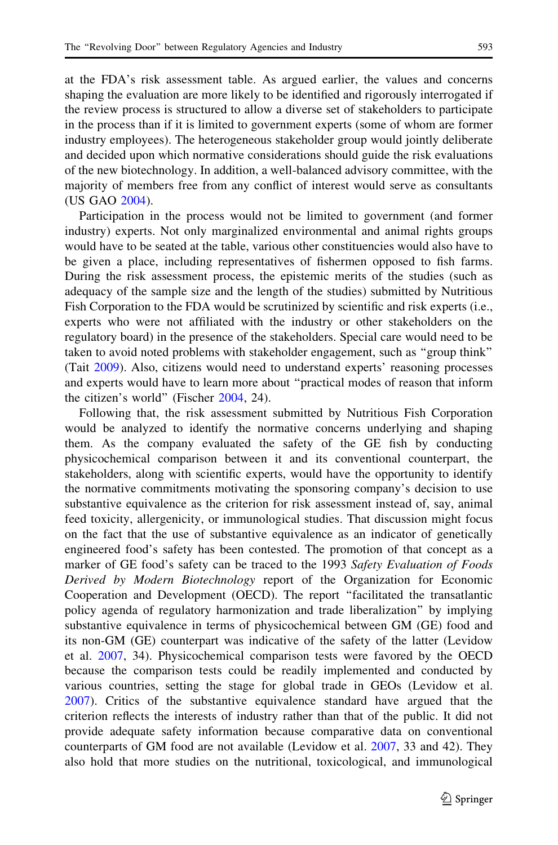at the FDA's risk assessment table. As argued earlier, the values and concerns shaping the evaluation are more likely to be identified and rigorously interrogated if the review process is structured to allow a diverse set of stakeholders to participate in the process than if it is limited to government experts (some of whom are former industry employees). The heterogeneous stakeholder group would jointly deliberate and decided upon which normative considerations should guide the risk evaluations of the new biotechnology. In addition, a well-balanced advisory committee, with the majority of members free from any conflict of interest would serve as consultants (US GAO 2004).

Participation in the process would not be limited to government (and former industry) experts. Not only marginalized environmental and animal rights groups would have to be seated at the table, various other constituencies would also have to be given a place, including representatives of fishermen opposed to fish farms. During the risk assessment process, the epistemic merits of the studies (such as adequacy of the sample size and the length of the studies) submitted by Nutritious Fish Corporation to the FDA would be scrutinized by scientific and risk experts (i.e., experts who were not affiliated with the industry or other stakeholders on the regulatory board) in the presence of the stakeholders. Special care would need to be taken to avoid noted problems with stakeholder engagement, such as ''group think'' (Tait 2009). Also, citizens would need to understand experts' reasoning processes and experts would have to learn more about ''practical modes of reason that inform the citizen's world'' (Fischer 2004, 24).

Following that, the risk assessment submitted by Nutritious Fish Corporation would be analyzed to identify the normative concerns underlying and shaping them. As the company evaluated the safety of the GE fish by conducting physicochemical comparison between it and its conventional counterpart, the stakeholders, along with scientific experts, would have the opportunity to identify the normative commitments motivating the sponsoring company's decision to use substantive equivalence as the criterion for risk assessment instead of, say, animal feed toxicity, allergenicity, or immunological studies. That discussion might focus on the fact that the use of substantive equivalence as an indicator of genetically engineered food's safety has been contested. The promotion of that concept as a marker of GE food's safety can be traced to the 1993 Safety Evaluation of Foods Derived by Modern Biotechnology report of the Organization for Economic Cooperation and Development (OECD). The report ''facilitated the transatlantic policy agenda of regulatory harmonization and trade liberalization'' by implying substantive equivalence in terms of physicochemical between GM (GE) food and its non-GM (GE) counterpart was indicative of the safety of the latter (Levidow et al. 2007, 34). Physicochemical comparison tests were favored by the OECD because the comparison tests could be readily implemented and conducted by various countries, setting the stage for global trade in GEOs (Levidow et al. 2007). Critics of the substantive equivalence standard have argued that the criterion reflects the interests of industry rather than that of the public. It did not provide adequate safety information because comparative data on conventional counterparts of GM food are not available (Levidow et al. 2007, 33 and 42). They also hold that more studies on the nutritional, toxicological, and immunological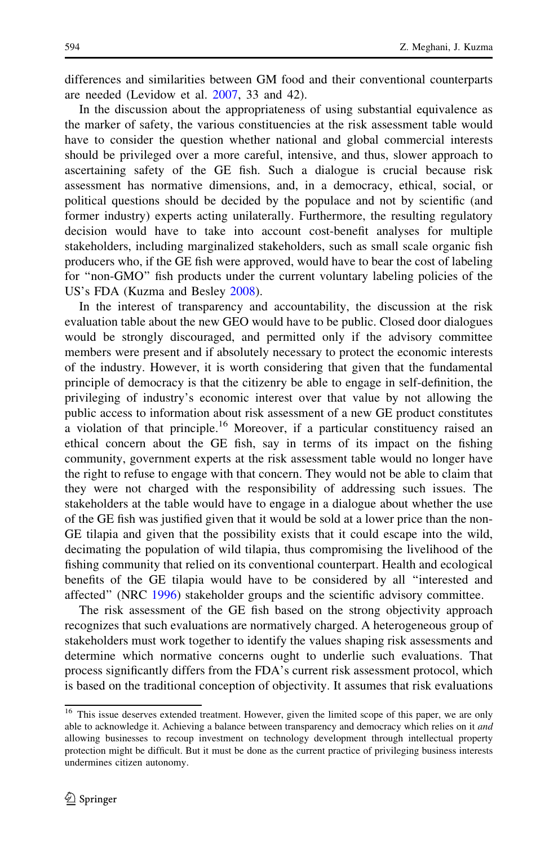differences and similarities between GM food and their conventional counterparts are needed (Levidow et al. 2007, 33 and 42).

In the discussion about the appropriateness of using substantial equivalence as the marker of safety, the various constituencies at the risk assessment table would have to consider the question whether national and global commercial interests should be privileged over a more careful, intensive, and thus, slower approach to ascertaining safety of the GE fish. Such a dialogue is crucial because risk assessment has normative dimensions, and, in a democracy, ethical, social, or political questions should be decided by the populace and not by scientific (and former industry) experts acting unilaterally. Furthermore, the resulting regulatory decision would have to take into account cost-benefit analyses for multiple stakeholders, including marginalized stakeholders, such as small scale organic fish producers who, if the GE fish were approved, would have to bear the cost of labeling for ''non-GMO'' fish products under the current voluntary labeling policies of the US's FDA (Kuzma and Besley 2008).

In the interest of transparency and accountability, the discussion at the risk evaluation table about the new GEO would have to be public. Closed door dialogues would be strongly discouraged, and permitted only if the advisory committee members were present and if absolutely necessary to protect the economic interests of the industry. However, it is worth considering that given that the fundamental principle of democracy is that the citizenry be able to engage in self-definition, the privileging of industry's economic interest over that value by not allowing the public access to information about risk assessment of a new GE product constitutes a violation of that principle.<sup>16</sup> Moreover, if a particular constituency raised an ethical concern about the GE fish, say in terms of its impact on the fishing community, government experts at the risk assessment table would no longer have the right to refuse to engage with that concern. They would not be able to claim that they were not charged with the responsibility of addressing such issues. The stakeholders at the table would have to engage in a dialogue about whether the use of the GE fish was justified given that it would be sold at a lower price than the non-GE tilapia and given that the possibility exists that it could escape into the wild, decimating the population of wild tilapia, thus compromising the livelihood of the fishing community that relied on its conventional counterpart. Health and ecological benefits of the GE tilapia would have to be considered by all ''interested and affected'' (NRC 1996) stakeholder groups and the scientific advisory committee.

The risk assessment of the GE fish based on the strong objectivity approach recognizes that such evaluations are normatively charged. A heterogeneous group of stakeholders must work together to identify the values shaping risk assessments and determine which normative concerns ought to underlie such evaluations. That process significantly differs from the FDA's current risk assessment protocol, which is based on the traditional conception of objectivity. It assumes that risk evaluations

<sup>&</sup>lt;sup>16</sup> This issue deserves extended treatment. However, given the limited scope of this paper, we are only able to acknowledge it. Achieving a balance between transparency and democracy which relies on it and allowing businesses to recoup investment on technology development through intellectual property protection might be difficult. But it must be done as the current practice of privileging business interests undermines citizen autonomy.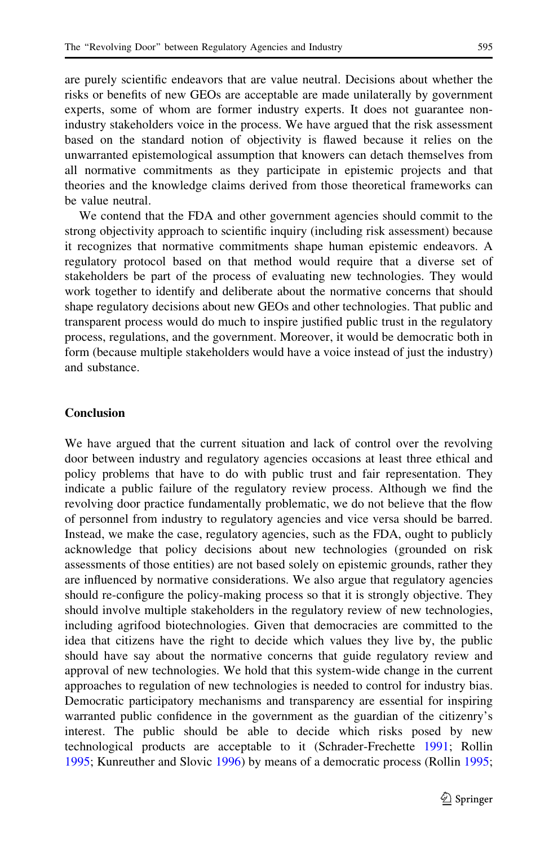are purely scientific endeavors that are value neutral. Decisions about whether the risks or benefits of new GEOs are acceptable are made unilaterally by government experts, some of whom are former industry experts. It does not guarantee nonindustry stakeholders voice in the process. We have argued that the risk assessment based on the standard notion of objectivity is flawed because it relies on the unwarranted epistemological assumption that knowers can detach themselves from all normative commitments as they participate in epistemic projects and that theories and the knowledge claims derived from those theoretical frameworks can be value neutral.

We contend that the FDA and other government agencies should commit to the strong objectivity approach to scientific inquiry (including risk assessment) because it recognizes that normative commitments shape human epistemic endeavors. A regulatory protocol based on that method would require that a diverse set of stakeholders be part of the process of evaluating new technologies. They would work together to identify and deliberate about the normative concerns that should shape regulatory decisions about new GEOs and other technologies. That public and transparent process would do much to inspire justified public trust in the regulatory process, regulations, and the government. Moreover, it would be democratic both in form (because multiple stakeholders would have a voice instead of just the industry) and substance.

#### Conclusion

We have argued that the current situation and lack of control over the revolving door between industry and regulatory agencies occasions at least three ethical and policy problems that have to do with public trust and fair representation. They indicate a public failure of the regulatory review process. Although we find the revolving door practice fundamentally problematic, we do not believe that the flow of personnel from industry to regulatory agencies and vice versa should be barred. Instead, we make the case, regulatory agencies, such as the FDA, ought to publicly acknowledge that policy decisions about new technologies (grounded on risk assessments of those entities) are not based solely on epistemic grounds, rather they are influenced by normative considerations. We also argue that regulatory agencies should re-configure the policy-making process so that it is strongly objective. They should involve multiple stakeholders in the regulatory review of new technologies, including agrifood biotechnologies. Given that democracies are committed to the idea that citizens have the right to decide which values they live by, the public should have say about the normative concerns that guide regulatory review and approval of new technologies. We hold that this system-wide change in the current approaches to regulation of new technologies is needed to control for industry bias. Democratic participatory mechanisms and transparency are essential for inspiring warranted public confidence in the government as the guardian of the citizenry's interest. The public should be able to decide which risks posed by new technological products are acceptable to it (Schrader-Frechette 1991; Rollin 1995; Kunreuther and Slovic 1996) by means of a democratic process (Rollin 1995;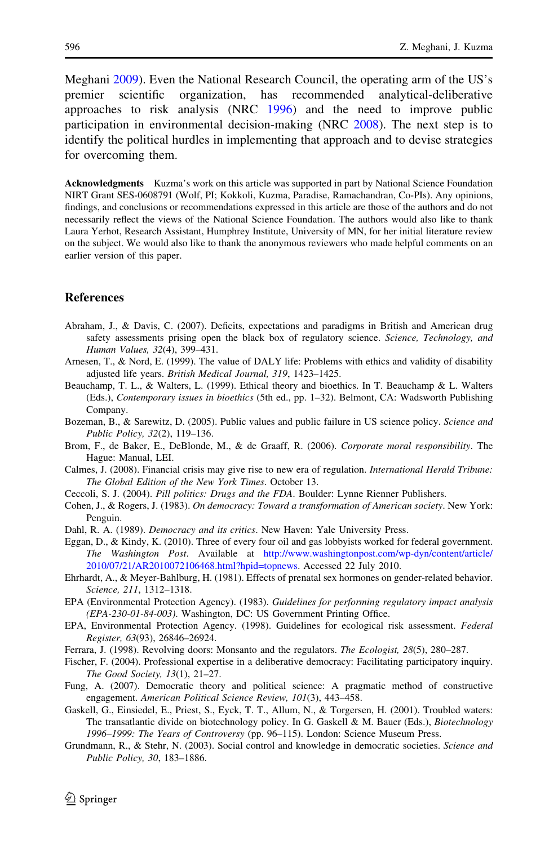Meghani 2009). Even the National Research Council, the operating arm of the US's premier scientific organization, has recommended analytical-deliberative approaches to risk analysis (NRC 1996) and the need to improve public participation in environmental decision-making (NRC 2008). The next step is to identify the political hurdles in implementing that approach and to devise strategies for overcoming them.

Acknowledgments Kuzma's work on this article was supported in part by National Science Foundation NIRT Grant SES-0608791 (Wolf, PI; Kokkoli, Kuzma, Paradise, Ramachandran, Co-PIs). Any opinions, findings, and conclusions or recommendations expressed in this article are those of the authors and do not necessarily reflect the views of the National Science Foundation. The authors would also like to thank Laura Yerhot, Research Assistant, Humphrey Institute, University of MN, for her initial literature review on the subject. We would also like to thank the anonymous reviewers who made helpful comments on an earlier version of this paper.

#### References

- Abraham, J., & Davis, C. (2007). Deficits, expectations and paradigms in British and American drug safety assessments prising open the black box of regulatory science. Science, Technology, and Human Values, 32(4), 399–431.
- Arnesen, T., & Nord, E. (1999). The value of DALY life: Problems with ethics and validity of disability adjusted life years. British Medical Journal, 319, 1423–1425.
- Beauchamp, T. L., & Walters, L. (1999). Ethical theory and bioethics. In T. Beauchamp & L. Walters (Eds.), Contemporary issues in bioethics (5th ed., pp. 1–32). Belmont, CA: Wadsworth Publishing Company.
- Bozeman, B., & Sarewitz, D. (2005). Public values and public failure in US science policy. Science and Public Policy, 32(2), 119–136.
- Brom, F., de Baker, E., DeBlonde, M., & de Graaff, R. (2006). Corporate moral responsibility. The Hague: Manual, LEI.
- Calmes, J. (2008). Financial crisis may give rise to new era of regulation. International Herald Tribune: The Global Edition of the New York Times. October 13.
- Ceccoli, S. J. (2004). Pill politics: Drugs and the FDA. Boulder: Lynne Rienner Publishers.
- Cohen, J., & Rogers, J. (1983). On democracy: Toward a transformation of American society. New York: Penguin.
- Dahl, R. A. (1989). Democracy and its critics. New Haven: Yale University Press.
- Eggan, D., & Kindy, K. (2010). Three of every four oil and gas lobbyists worked for federal government. The Washington Post. Available at [http://www.washingtonpost.com/wp-dyn/content/article/](http://www.washingtonpost.com/wp-dyn/content/article/2010/07/21/AR2010072106468.html?hpid=topnews) [2010/07/21/AR2010072106468.html?hpid=topnews](http://www.washingtonpost.com/wp-dyn/content/article/2010/07/21/AR2010072106468.html?hpid=topnews). Accessed 22 July 2010.
- Ehrhardt, A., & Meyer-Bahlburg, H. (1981). Effects of prenatal sex hormones on gender-related behavior. Science, 211, 1312–1318.
- EPA (Environmental Protection Agency). (1983). Guidelines for performing regulatory impact analysis (EPA-230-01-84-003). Washington, DC: US Government Printing Office.
- EPA, Environmental Protection Agency. (1998). Guidelines for ecological risk assessment. Federal Register, 63(93), 26846–26924.
- Ferrara, J. (1998). Revolving doors: Monsanto and the regulators. *The Ecologist*, 28(5), 280–287.
- Fischer, F. (2004). Professional expertise in a deliberative democracy: Facilitating participatory inquiry. The Good Society, 13(1), 21–27.
- Fung, A. (2007). Democratic theory and political science: A pragmatic method of constructive engagement. American Political Science Review, 101(3), 443–458.
- Gaskell, G., Einsiedel, E., Priest, S., Eyck, T. T., Allum, N., & Torgersen, H. (2001). Troubled waters: The transatlantic divide on biotechnology policy. In G. Gaskell & M. Bauer (Eds.), Biotechnology 1996–1999: The Years of Controversy (pp. 96–115). London: Science Museum Press.
- Grundmann, R., & Stehr, N. (2003). Social control and knowledge in democratic societies. Science and Public Policy, 30, 183–1886.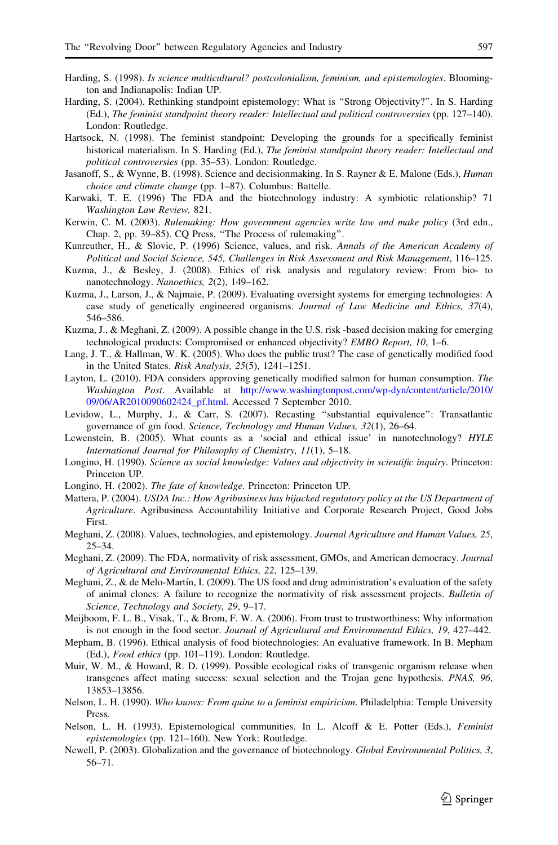- Harding, S. (1998). Is science multicultural? postcolonialism, feminism, and epistemologies. Bloomington and Indianapolis: Indian UP.
- Harding, S. (2004). Rethinking standpoint epistemology: What is ''Strong Objectivity?''. In S. Harding (Ed.), The feminist standpoint theory reader: Intellectual and political controversies (pp. 127–140). London: Routledge.
- Hartsock, N. (1998). The feminist standpoint: Developing the grounds for a specifically feminist historical materialism. In S. Harding (Ed.), The feminist standpoint theory reader: Intellectual and political controversies (pp. 35–53). London: Routledge.
- Jasanoff, S., & Wynne, B. (1998). Science and decisionmaking. In S. Rayner & E. Malone (Eds.), Human choice and climate change (pp. 1–87). Columbus: Battelle.
- Karwaki, T. E. (1996) The FDA and the biotechnology industry: A symbiotic relationship? 71 Washington Law Review, 821.
- Kerwin, C. M. (2003). Rulemaking: How government agencies write law and make policy (3rd edn., Chap. 2, pp. 39–85). CQ Press, ''The Process of rulemaking''.
- Kunreuther, H., & Slovic, P. (1996) Science, values, and risk. Annals of the American Academy of Political and Social Science, 545, Challenges in Risk Assessment and Risk Management, 116–125.
- Kuzma, J., & Besley, J. (2008). Ethics of risk analysis and regulatory review: From bio- to nanotechnology. Nanoethics, 2(2), 149–162.
- Kuzma, J., Larson, J., & Najmaie, P. (2009). Evaluating oversight systems for emerging technologies: A case study of genetically engineered organisms. Journal of Law Medicine and Ethics, 37(4), 546–586.
- Kuzma, J., & Meghani, Z. (2009). A possible change in the U.S. risk -based decision making for emerging technological products: Compromised or enhanced objectivity? EMBO Report, 10, 1–6.
- Lang, J. T., & Hallman, W. K. (2005). Who does the public trust? The case of genetically modified food in the United States. Risk Analysis, 25(5), 1241–1251.
- Layton, L. (2010). FDA considers approving genetically modified salmon for human consumption. The Washington Post. Available at [http://www.washingtonpost.com/wp-dyn/content/article/2010/](http://www.washingtonpost.com/wp-dyn/content/article/2010/09/06/AR2010090602424_pf.html) [09/06/AR2010090602424\\_pf.html](http://www.washingtonpost.com/wp-dyn/content/article/2010/09/06/AR2010090602424_pf.html). Accessed 7 September 2010.
- Levidow, L., Murphy, J., & Carr, S. (2007). Recasting ''substantial equivalence'': Transatlantic governance of gm food. Science, Technology and Human Values, 32(1), 26–64.
- Lewenstein, B. (2005). What counts as a 'social and ethical issue' in nanotechnology? HYLE International Journal for Philosophy of Chemistry, 11(1), 5–18.
- Longino, H. (1990). Science as social knowledge: Values and objectivity in scientific inquiry. Princeton: Princeton UP.
- Longino, H. (2002). The fate of knowledge. Princeton: Princeton UP.
- Mattera, P. (2004). USDA Inc.: How Agribusiness has hijacked regulatory policy at the US Department of Agriculture. Agribusiness Accountability Initiative and Corporate Research Project, Good Jobs First.
- Meghani, Z. (2008). Values, technologies, and epistemology. Journal Agriculture and Human Values, 25, 25–34.
- Meghani, Z. (2009). The FDA, normativity of risk assessment, GMOs, and American democracy. Journal of Agricultural and Environmental Ethics, 22, 125–139.
- Meghani, Z., & de Melo-Martín, I. (2009). The US food and drug administration's evaluation of the safety of animal clones: A failure to recognize the normativity of risk assessment projects. Bulletin of Science, Technology and Society, 29, 9–17.
- Meijboom, F. L. B., Visak, T., & Brom, F. W. A. (2006). From trust to trustworthiness: Why information is not enough in the food sector. Journal of Agricultural and Environmental Ethics, 19, 427–442.
- Mepham, B. (1996). Ethical analysis of food biotechnologies: An evaluative framework. In B. Mepham (Ed.), Food ethics (pp. 101–119). London: Routledge.
- Muir, W. M., & Howard, R. D. (1999). Possible ecological risks of transgenic organism release when transgenes affect mating success: sexual selection and the Trojan gene hypothesis. PNAS, 96, 13853–13856.
- Nelson, L. H. (1990). Who knows: From quine to a feminist empiricism. Philadelphia: Temple University Press.
- Nelson, L. H. (1993). Epistemological communities. In L. Alcoff & E. Potter (Eds.), Feminist epistemologies (pp. 121–160). New York: Routledge.
- Newell, P. (2003). Globalization and the governance of biotechnology. Global Environmental Politics, 3, 56–71.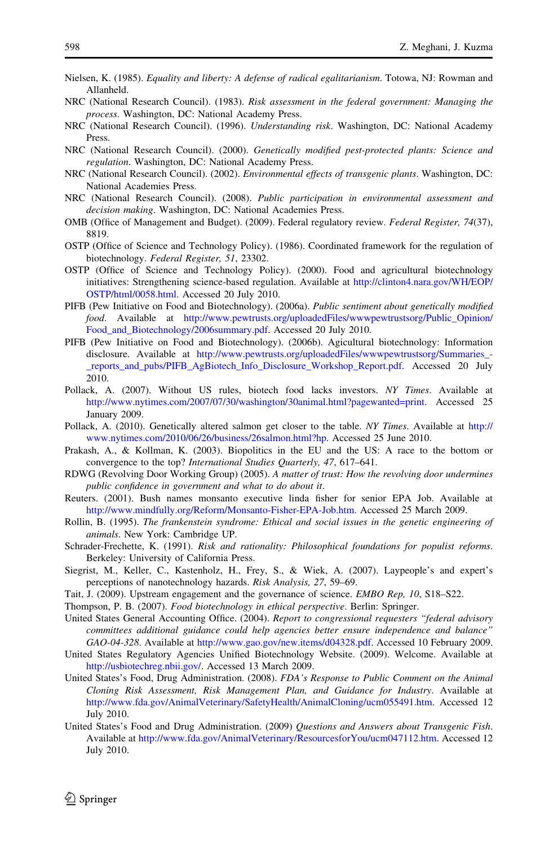- Nielsen, K. (1985). Equality and liberty: A defense of radical egalitarianism. Totowa, NJ: Rowman and Allanheld.
- NRC (National Research Council). (1983). Risk assessment in the federal government: Managing the process. Washington, DC: National Academy Press.
- NRC (National Research Council). (1996). *Understanding risk*. Washington, DC: National Academy Press.
- NRC (National Research Council). (2000). Genetically modified pest-protected plants: Science and regulation. Washington, DC: National Academy Press.
- NRC (National Research Council). (2002). Environmental effects of transgenic plants. Washington, DC: National Academies Press.
- NRC (National Research Council). (2008). Public participation in environmental assessment and decision making. Washington, DC: National Academies Press.
- OMB (Office of Management and Budget). (2009). Federal regulatory review. Federal Register, 74(37), 8819.
- OSTP (Office of Science and Technology Policy). (1986). Coordinated framework for the regulation of biotechnology. Federal Register, 51, 23302.
- OSTP (Office of Science and Technology Policy). (2000). Food and agricultural biotechnology initiatives: Strengthening science-based regulation. Available at [http://clinton4.nara.gov/WH/EOP/](http://clinton4.nara.gov/WH/EOP/OSTP/html/0058.html) [OSTP/html/0058.html](http://clinton4.nara.gov/WH/EOP/OSTP/html/0058.html). Accessed 20 July 2010.
- PIFB (Pew Initiative on Food and Biotechnology). (2006a). Public sentiment about genetically modified food. Available at [http://www.pewtrusts.org/uploadedFiles/wwwpewtrustsorg/Public\\_Opinion/](http://www.pewtrusts.org/uploadedFiles/wwwpewtrustsorg/Public_Opinion/Food_and_Biotechnology/2006summary.pdf) [Food\\_and\\_Biotechnology/2006summary.pdf](http://www.pewtrusts.org/uploadedFiles/wwwpewtrustsorg/Public_Opinion/Food_and_Biotechnology/2006summary.pdf). Accessed 20 July 2010.
- PIFB (Pew Initiative on Food and Biotechnology). (2006b). Agicultural biotechnology: Information disclosure. Available at http://www.pewtrusts.org/uploadedFiles/wwwpewtrustsorg/Summaries -[\\_reports\\_and\\_pubs/PIFB\\_AgBiotech\\_Info\\_Disclosure\\_Workshop\\_Report.pdf.](http://www.pewtrusts.org/uploadedFiles/wwwpewtrustsorg/Summaries_-_reports_and_pubs/PIFB_AgBiotech_Info_Disclosure_Workshop_Report.pdf) Accessed 20 July 2010.
- Pollack, A. (2007). Without US rules, biotech food lacks investors. NY Times. Available at <http://www.nytimes.com/2007/07/30/washington/30animal.html?pagewanted=print>. Accessed 25 January 2009.
- Pollack, A. (2010). Genetically altered salmon get closer to the table. NY Times. Available at [http://](http://www.nytimes.com/2010/06/26/business/26salmon.html?hp) [www.nytimes.com/2010/06/26/business/26salmon.html?hp](http://www.nytimes.com/2010/06/26/business/26salmon.html?hp). Accessed 25 June 2010.
- Prakash, A., & Kollman, K. (2003). Biopolitics in the EU and the US: A race to the bottom or convergence to the top? International Studies Quarterly, 47, 617–641.
- RDWG (Revolving Door Working Group) (2005). A matter of trust: How the revolving door undermines public confidence in government and what to do about it.
- Reuters. (2001). Bush names monsanto executive linda fisher for senior EPA Job. Available at <http://www.mindfully.org/Reform/Monsanto-Fisher-EPA-Job.htm>. Accessed 25 March 2009.
- Rollin, B. (1995). The frankenstein syndrome: Ethical and social issues in the genetic engineering of animals. New York: Cambridge UP.
- Schrader-Frechette, K. (1991). Risk and rationality: Philosophical foundations for populist reforms. Berkeley: University of California Press.
- Siegrist, M., Keller, C., Kastenholz, H., Frey, S., & Wiek, A. (2007). Laypeople's and expert's perceptions of nanotechnology hazards. Risk Analysis, 27, 59–69.
- Tait, J. (2009). Upstream engagement and the governance of science. EMBO Rep, 10, S18–S22.
- Thompson, P. B. (2007). Food biotechnology in ethical perspective. Berlin: Springer.
- United States General Accounting Office. (2004). Report to congressional requesters ''federal advisory committees additional guidance could help agencies better ensure independence and balance'' GAO-04-328. Available at <http://www.gao.gov/new.items/d04328.pdf>. Accessed 10 February 2009.
- United States Regulatory Agencies Unified Biotechnology Website. (2009). Welcome. Available at <http://usbiotechreg.nbii.gov/>. Accessed 13 March 2009.
- United States's Food, Drug Administration. (2008). FDA's Response to Public Comment on the Animal Cloning Risk Assessment, Risk Management Plan, and Guidance for Industry. Available at [http://www.fda.gov/AnimalVeterinary/SafetyHealth/AnimalCloning/ucm055491.htm.](http://www.fda.gov/AnimalVeterinary/SafetyHealth/AnimalCloning/ucm055491.htm) Accessed 12 July 2010.
- United States's Food and Drug Administration. (2009) Questions and Answers about Transgenic Fish. Available at [http://www.fda.gov/AnimalVeterinary/ResourcesforYou/ucm047112.htm.](http://www.fda.gov/AnimalVeterinary/ResourcesforYou/ucm047112.htm) Accessed 12 July 2010.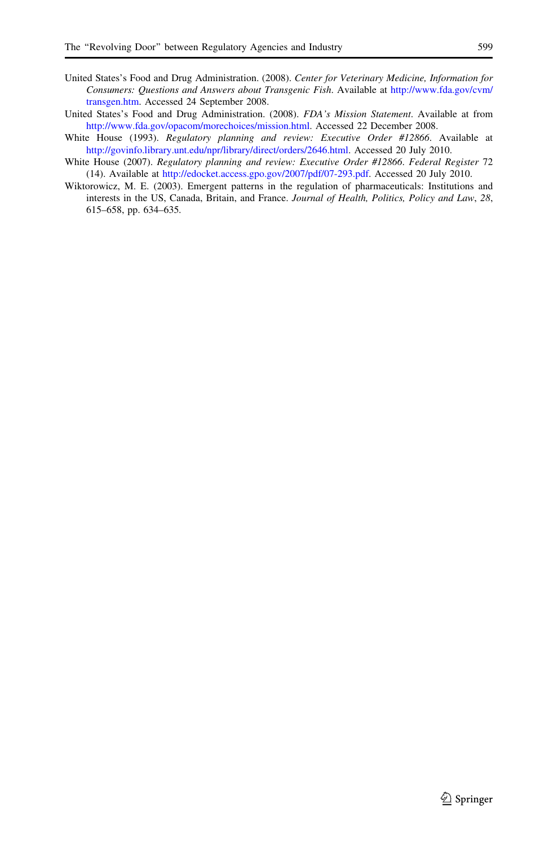- United States's Food and Drug Administration. (2008). Center for Veterinary Medicine, Information for Consumers: Questions and Answers about Transgenic Fish. Available at [http://www.fda.gov/cvm/](http://www.fda.gov/cvm/transgen.htm) [transgen.htm](http://www.fda.gov/cvm/transgen.htm). Accessed 24 September 2008.
- United States's Food and Drug Administration. (2008). FDA's Mission Statement. Available at from <http://www.fda.gov/opacom/morechoices/mission.html>. Accessed 22 December 2008.
- White House (1993). Regulatory planning and review: Executive Order #12866. Available at [http://govinfo.library.unt.edu/npr/library/direct/orders/2646.html.](http://govinfo.library.unt.edu/npr/library/direct/orders/2646.html) Accessed 20 July 2010.
- White House (2007). Regulatory planning and review: Executive Order #12866. Federal Register 72 (14). Available at <http://edocket.access.gpo.gov/2007/pdf/07-293.pdf>. Accessed 20 July 2010.
- Wiktorowicz, M. E. (2003). Emergent patterns in the regulation of pharmaceuticals: Institutions and interests in the US, Canada, Britain, and France. Journal of Health, Politics, Policy and Law, 28, 615–658, pp. 634–635.